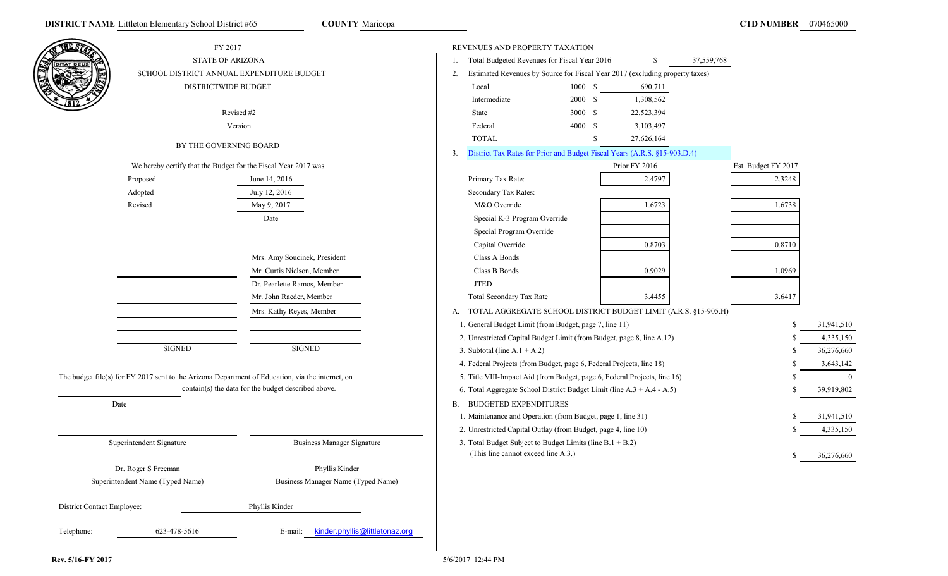**COUNTY** Maricopa

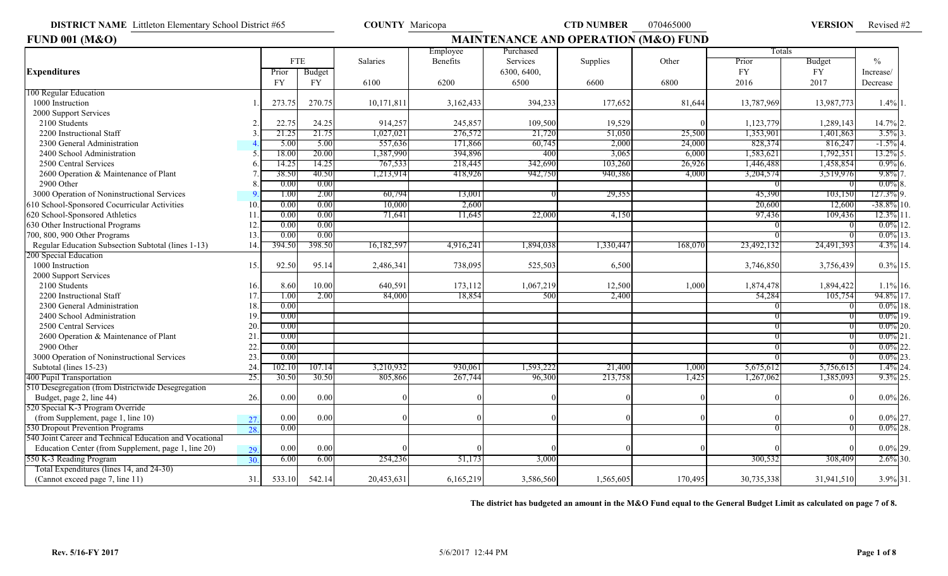Revised #2

| <b>FUND 001 (M&amp;O)</b>                               |     |        |            | <b>MAINTENANCE AND OPERATION (M&amp;O) FUND</b> |           |             |           |         |            |            |               |  |  |  |
|---------------------------------------------------------|-----|--------|------------|-------------------------------------------------|-----------|-------------|-----------|---------|------------|------------|---------------|--|--|--|
|                                                         |     |        |            |                                                 | Employee  | Purchased   |           |         | Totals     |            |               |  |  |  |
|                                                         |     |        | <b>FTE</b> | <b>Salaries</b>                                 | Benefits  | Services    | Supplies  | Other   | Prior      | Budget     | $\%$          |  |  |  |
| <b>Expenditures</b>                                     |     | Prior  | Budget     |                                                 |           | 6300, 6400, |           |         | FY.        | FY         | Increase/     |  |  |  |
|                                                         |     | FY     | <b>FY</b>  | 6100                                            | 6200      | 6500        | 6600      | 6800    | 2016       | 2017       | Decrease      |  |  |  |
| 100 Regular Education                                   |     |        |            |                                                 |           |             |           |         |            |            |               |  |  |  |
| 1000 Instruction                                        |     | 273.75 | 270.75     | 10,171,811                                      | 3,162,433 | 394,233     | 177,652   | 81,644  | 13,787,969 | 13,987,773 | $1.4\%$ 1.    |  |  |  |
| 2000 Support Services                                   |     |        |            |                                                 |           |             |           |         |            |            |               |  |  |  |
| 2100 Students                                           |     | 22.75  | 24.25      | 914,257                                         | 245,857   | 109,500     | 19,529    |         | 1,123,779  | 1,289,143  | 14.7% 2.      |  |  |  |
| 2200 Instructional Staff                                |     | 21.25  | 21.75      | 1,027,021                                       | 276,572   | 21,720      | 51,050    | 25,500  | 1,353,901  | 1,401,863  | $3.5\%$       |  |  |  |
| 2300 General Administration                             |     | 5.00   | 5.00       | 557,636                                         | 171,866   | 60,745      | 2,000     | 24,000  | 828,374    | 816,247    | $-1.5\%$      |  |  |  |
| 2400 School Administration                              |     | 18.00  | 20.00      | 1,387,990                                       | 394,896   | 400         | 3,065     | 6,000   | 1,583,621  | 1,792,351  | 13.2%         |  |  |  |
| 2500 Central Services                                   |     | 14.25  | 14.25      | 767,533                                         | 218,445   | 342,690     | 103,260   | 26,926  | 1,446,488  | 1,458,854  | $0.9\%$       |  |  |  |
| 2600 Operation & Maintenance of Plant                   |     | 38.50  | 40.50      | 1,213,914                                       | 418,926   | 942,750     | 940,386   | 4,000   | 3,204,574  | 3,519,976  | $9.8\%$       |  |  |  |
| 2900 Other                                              |     | 0.00   | 0.00       |                                                 |           |             |           |         |            |            | $0.0\%$       |  |  |  |
| 3000 Operation of Noninstructional Services             |     | 1.00   | 2.00       | 60,794                                          | 13,001    |             | 29,355    |         | 45,390     | 103,150    | 127.3% 9.     |  |  |  |
| 610 School-Sponsored Cocurricular Activities            | 10  | 0.00   | 0.00       | 10,000                                          | 2,600     |             |           |         | 20,600     | 12,600     | $-38.8\%$ 10. |  |  |  |
| 620 School-Sponsored Athletics                          | 11  | 0.00   | 0.00       | 71,641                                          | 11,645    | 22,000      | 4,150     |         | 97,436     | 109,436    | 12.3% 11      |  |  |  |
| 630 Other Instructional Programs                        | 12  | 0.00   | 0.00       |                                                 |           |             |           |         |            |            | $0.0\%$ 12.   |  |  |  |
| 700, 800, 900 Other Programs                            | 13  | 0.00   | 0.00       |                                                 |           |             |           |         |            |            | $0.0\%$ 13    |  |  |  |
| Regular Education Subsection Subtotal (lines 1-13)      | 14. | 394.50 | 398.50     | 16,182,59                                       | 4,916,241 | 1,894,038   | 1,330,44  | 168,07  | 23,492,132 | 24,491,393 | 4.3% 14       |  |  |  |
| 200 Special Education                                   |     |        |            |                                                 |           |             |           |         |            |            |               |  |  |  |
| 1000 Instruction                                        | 15. | 92.50  | 95.14      | 2,486,341                                       | 738,095   | 525,503     | 6,500     |         | 3,746,850  | 3,756,439  | $0.3\%$ 15.   |  |  |  |
| 2000 Support Services                                   |     |        |            |                                                 |           |             |           |         |            |            |               |  |  |  |
| 2100 Students                                           | 16. | 8.60   | 10.00      | 640,591                                         | 173,112   | 1,067,219   | 12,500    | 1,000   | 1,874,478  | 1,894,422  | $1.1\%$ 16.   |  |  |  |
| 2200 Instructional Staff                                | 17  | 1.00   | 2.00       | 84,000                                          | 18,854    | 500         | 2,400     |         | 54,284     | 105,754    | 94.8% 17.     |  |  |  |
| 2300 General Administration                             | 18  | 0.00   |            |                                                 |           |             |           |         |            |            | $0.0\%$ 18.   |  |  |  |
| 2400 School Administration                              | 19. | 0.00   |            |                                                 |           |             |           |         |            |            | $0.0\%$ 19.   |  |  |  |
| 2500 Central Services                                   | 20  | 0.00   |            |                                                 |           |             |           |         |            |            | $0.0\%$ 20.   |  |  |  |
| 2600 Operation & Maintenance of Plant                   | 21  | 0.00   |            |                                                 |           |             |           |         |            |            | $0.0\%$ 21    |  |  |  |
| 2900 Other                                              | 22  | 0.00   |            |                                                 |           |             |           |         |            |            | $0.0\%$<br>22 |  |  |  |
| 3000 Operation of Noninstructional Services             | 23. | 0.00   |            |                                                 |           |             |           |         |            |            | $0.0\%$ 23    |  |  |  |
| Subtotal (lines 15-23)                                  | 24  | 102.10 | 107.14     | 3,210,932                                       | 930,061   | 1,593,222   | 21,400    | 1,000   | 5,675,612  | 5,756,615  | $1.4\%$ 24.   |  |  |  |
| 400 Pupil Transportation                                | 25. | 30.50  | 30.50      | 805,866                                         | 267,744   | 96,300      | 213,758   | 1,425   | 1,267,062  | 1,385,093  | $9.3\%$ 25.   |  |  |  |
| 510 Desegregation (from Districtwide Desegregation      |     |        |            |                                                 |           |             |           |         |            |            |               |  |  |  |
| Budget, page 2, line 44)                                | 26. | 0.00   | 0.00       |                                                 |           |             |           |         |            |            | $0.0\%$ 26.   |  |  |  |
| 520 Special K-3 Program Override                        |     |        |            |                                                 |           |             |           |         |            |            |               |  |  |  |
| (from Supplement, page 1, line 10)                      | 27. | 0.00   | 0.00       |                                                 |           |             |           |         |            |            | $0.0\%$ 27.   |  |  |  |
| 530 Dropout Prevention Programs                         | 28. | 0.00   |            |                                                 |           |             |           |         |            |            | $0.0\%$ 28.   |  |  |  |
| 540 Joint Career and Technical Education and Vocational |     |        |            |                                                 |           |             |           |         |            |            |               |  |  |  |
| Education Center (from Supplement, page 1, line 20)     | 29. | 0.00   | 0.00       |                                                 |           |             |           |         |            |            | $0.0\%$ 29.   |  |  |  |
| 550 K-3 Reading Program                                 | 30. | 6.00   | 6.00       | 254,236                                         | 51,173    | 3,000       |           |         | 300,532    | 308,409    | 2.6% 30.      |  |  |  |
| Total Expenditures (lines 14, and 24-30)                |     |        |            |                                                 |           |             |           |         |            |            |               |  |  |  |
| (Cannot exceed page 7, line 11)                         | 31. | 533.10 | 542.14     | 20,453,631                                      | 6,165,219 | 3,586,560   | 1,565,605 | 170,495 | 30,735,338 | 31,941,510 | 3.9% 31.      |  |  |  |

**The district has budgeted an amount in the M&O Fund equal to the General Budget Limit as calculated on page 7 of 8.**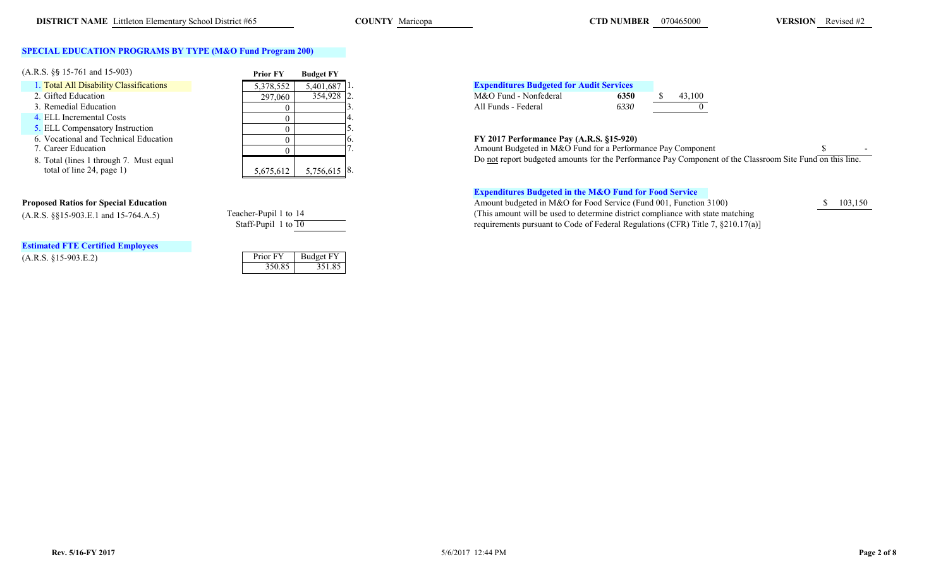## **SPECIAL EDUCATION PROGRAMS BY TYPE (M&O Fund Program 200)**

| $(A.R.S. \S\$ 15-761 and 15-903)        | <b>Prior FY</b> | <b>Budget FY</b> |                                                              |
|-----------------------------------------|-----------------|------------------|--------------------------------------------------------------|
| 1. Total All Disability Classifications | 5,378,552       | $5,401,687$ 1.   | <b>Expenditures Budgeted for Audit Services</b>              |
| 2. Gifted Education                     | 297,060         | 354,928 2.       | M&O Fund - Nonfederal<br>43.100<br>6350                      |
| 3. Remedial Education                   |                 |                  | All Funds - Federal<br>6330                                  |
| 4. ELL Incremental Costs                |                 |                  |                                                              |
| 5. ELL Compensatory Instruction         |                 |                  |                                                              |
| 6. Vocational and Technical Education   |                 |                  | FY 2017 Performance Pay (A.R.S. §15-920)                     |
| 7. Career Education                     |                 |                  | Amount Budgeted in M&O Fund for a Performance Pay Compor     |
| 8. Total (lines 1 through 7. Must equal |                 |                  | Do not report budgeted amounts for the Performance Pay Compo |
| total of line 24, page 1)               | 5,675,612       | $5,756,615$ 8.   |                                                              |

# **Estimated FTE Certified Employees**

 $(A.R.S. §15-903.E.2)$ 

| 291,000   | 337,720      | ٠. |
|-----------|--------------|----|
|           |              |    |
|           |              |    |
|           |              | 5. |
|           |              | 6. |
|           |              |    |
|           |              |    |
| 5,675,612 | 5,756,615 8. |    |
|           |              |    |

| acher-Pupil 1 to 14 |  |  |  |
|---------------------|--|--|--|
| Staff-Punil 1 to 10 |  |  |  |

| Prior FY | <b>Budget FY</b> |
|----------|------------------|
| 350.85   | 351.85           |

| 5.401.687 1. | <b>Expenditures Budgeted for Audit Services</b> |      |        |
|--------------|-------------------------------------------------|------|--------|
| 354.928 2.   | M&O Fund - Nonfederal                           | 6350 | 43,100 |
|              | All Funds - Federal                             | 6330 |        |

## 6. **FY 2017 Performance Pay (A.R.S. §15-920)**

|  | Component                                                                                                     |  |
|--|---------------------------------------------------------------------------------------------------------------|--|
|  | t budgeted amounts for the Performance Pay Component of the Classroom Site Fund on this line<br>Do not renori |  |

## **Expenditures Budgeted in the M&O Fund for Food Service**

**Proposed Ratios for Special Education**<br>
(A.R.S. 8815-903.E.1 and 15-764.A.5) Teacher-Pupil 1 to 14 (This amount will be used to determine district compliance with state matching **103,150** (A.R.S. §§15-903.E.1 and 15-764.A.5) Teacher-Pupil 1 to 14 (This amount will be used to determine district compliance with state matching<br>Staff-Pupil 1 to 10 could be used to Code of Federal Regulations (CFR) Title 7. 8210 requirements pursuant to Code of Federal Regulations (CFR) Title 7,  $\S 210.17(a)$ ]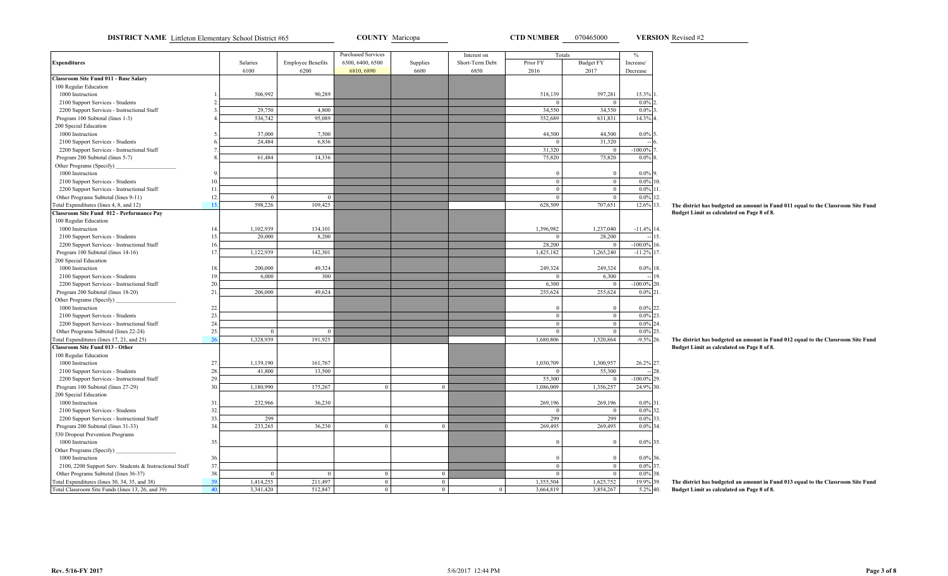**DISTRICT NAME** Littleton Elementary School District #65 **COUNTY Maricopa COUNTY Maricopa CTD NUMBER** 070465000 **VERSION** Revised #2

**VERSION**

|                                                         |     |                  |                          | <b>Purchased Services</b> |          | Interest on     | Totals         |                  | $\%$                              |                                                                                  |
|---------------------------------------------------------|-----|------------------|--------------------------|---------------------------|----------|-----------------|----------------|------------------|-----------------------------------|----------------------------------------------------------------------------------|
| <b>Expenditures</b>                                     |     | Salaries         | <b>Employee Benefits</b> | 6300, 6400, 6500          | Supplies | Short-Term Debt | Prior FY       | <b>Budget FY</b> | Increase/                         |                                                                                  |
|                                                         |     | 6100             | 6200                     | 6810, 6890                | 6600     | 6850            | 2016           | 2017             | Decrease                          |                                                                                  |
| Classroom Site Fund 011 - Base Salary                   |     |                  |                          |                           |          |                 |                |                  |                                   |                                                                                  |
| 100 Regular Education                                   |     |                  |                          |                           |          |                 |                |                  |                                   |                                                                                  |
| 1000 Instruction                                        |     | 506,992          | 90,289                   |                           |          |                 | 518,139        | 597,281          | 15.3%                             |                                                                                  |
| 2100 Support Services - Students                        |     | 29,750           | 4,800                    |                           |          |                 | 34,550         | 34,550           | $0.0\%$ <sub>2</sub><br>$0.0\%$ 3 |                                                                                  |
| 2200 Support Services - Instructional Staff             |     | 536,742          | 95,089                   |                           |          |                 | 552,689        |                  |                                   |                                                                                  |
| Program 100 Subtotal (lines 1-3)                        |     |                  |                          |                           |          |                 |                | 631,831          | 14.3% 4                           |                                                                                  |
| 200 Special Education                                   |     |                  |                          |                           |          |                 |                |                  |                                   |                                                                                  |
| 1000 Instruction                                        |     | 37,000<br>24,484 | 7,500                    |                           |          |                 | 44,500         | 44,500           | $0.0\%$ 5                         |                                                                                  |
| 2100 Support Services - Students                        |     |                  | 6.836                    |                           |          |                 |                | 31,320           |                                   |                                                                                  |
| 2200 Support Services - Instructional Staff             |     |                  |                          |                           |          |                 | 31,320         | $\mathbf{0}$     | $-100.0\%$                        |                                                                                  |
| Program 200 Subtotal (lines 5-7)                        |     | 61,484           | 14,336                   |                           |          |                 | 75,820         | 75,820           | $0.0\%$                           |                                                                                  |
| Other Programs (Specify)                                |     |                  |                          |                           |          |                 |                |                  |                                   |                                                                                  |
| 1000 Instruction                                        |     |                  |                          |                           |          |                 | $\Omega$       | $\Omega$         | $0.0\%$ 9                         |                                                                                  |
| 2100 Support Services - Students                        |     |                  |                          |                           |          |                 | $\overline{0}$ | $\overline{0}$   | $0.0\%$ 10.                       |                                                                                  |
| 2200 Support Services - Instructional Staff             | -11 |                  |                          |                           |          |                 | $\overline{0}$ | $\overline{0}$   | $0.0\%$ 11.                       |                                                                                  |
| Other Programs Subtotal (lines 9-11)                    | 12  |                  |                          |                           |          |                 | $\Omega$       | $\Omega$         | $0.0\%$ 12.                       |                                                                                  |
| Fotal Expenditures (lines 4, 8, and 12)                 | 13  | 598,226          | 109,425                  |                           |          |                 | 628,509        | 707,651          | 12.6% 13.                         | The district has budgeted an amount in Fund 011 equal to the Classroom Site Fund |
| Classroom Site Fund 012 - Performance Pay               |     |                  |                          |                           |          |                 |                |                  |                                   | Budget Limit as calculated on Page 8 of 8.                                       |
| 100 Regular Education                                   |     |                  |                          |                           |          |                 |                |                  |                                   |                                                                                  |
| 1000 Instruction                                        |     | 1,102,939        | 134,101                  |                           |          |                 | 1,396,982      | 1,237,040        | $-11.4\%$ 14.                     |                                                                                  |
| 2100 Support Services - Students                        |     | 20,000           | 8,200                    |                           |          |                 |                | 28,200           | 15.                               |                                                                                  |
| 2200 Support Services - Instructional Staff             |     |                  |                          |                           |          |                 | 28,200         | $\mathbf{0}$     | $-100.0\%$ 16.                    |                                                                                  |
| Program 100 Subtotal (lines 14-16)                      | 17  | 1,122,939        | 142,301                  |                           |          |                 | 1,425,182      | 1,265,240        | $-11.2\%$ 17.                     |                                                                                  |
| 200 Special Education                                   |     |                  |                          |                           |          |                 |                |                  |                                   |                                                                                  |
| 1000 Instruction                                        |     | 200,000          | 49,324                   |                           |          |                 | 249,324        | 249,324          | $0.0\%$<br>18.                    |                                                                                  |
| 2100 Support Services - Students                        |     | 6,000            | 300                      |                           |          |                 | $\Omega$       | 6,300            | 19.                               |                                                                                  |
| 2200 Support Services - Instructional Staff             | 20. |                  |                          |                           |          |                 | 6,300          |                  | $-100.0\%$ 20.                    |                                                                                  |
| Program 200 Subtotal (lines 18-20)                      | 21  | 206,000          | 49,624                   |                           |          |                 | 255,624        | 255,624          | $0.0\%$ 21                        |                                                                                  |
| Other Programs (Specify)                                |     |                  |                          |                           |          |                 |                |                  |                                   |                                                                                  |
| 1000 Instruction                                        | 22. |                  |                          |                           |          |                 | $\Omega$       | $\Omega$         | $0.0\%$ 22.                       |                                                                                  |
| 2100 Support Services - Students                        | 23. |                  |                          |                           |          |                 | $\mathbf{0}$   | $\bf{0}$         | $0.0\%$ 23.                       |                                                                                  |
| 2200 Support Services - Instructional Staff             | 24  |                  |                          |                           |          |                 | $\mathbf{0}$   | $\theta$         | $0.0\%$ 24.                       |                                                                                  |
| Other Programs Subtotal (lines 22-24)                   | 25  | $\Omega$         | $\Omega$                 |                           |          |                 | $\overline{0}$ | $\Omega$         | $0.0\%$ 25.                       |                                                                                  |
| Total Expenditures (lines 17, 21, and 25)               | 26  | 1,328,939        | 191,925                  |                           |          |                 | 1.680.806      | 1,520,864        | $-9.5\%$ 26.                      | The district has budgeted an amount in Fund 012 equal to the Classroom Site Fund |
| <b>Classroom Site Fund 013 - Other</b>                  |     |                  |                          |                           |          |                 |                |                  |                                   | Budget Limit as calculated on Page 8 of 8.                                       |
| 100 Regular Education                                   |     |                  |                          |                           |          |                 |                |                  |                                   |                                                                                  |
| 1000 Instruction                                        | 27  | 1,139,190        | 161,767                  |                           |          |                 | 1,030,709      | 1,300,957        | 26.2% 27.                         |                                                                                  |
| 2100 Support Services - Students                        | 28  | 41,800           | 13,500                   |                           |          |                 | $\Omega$       | 55,300           | 28.                               |                                                                                  |
| 2200 Support Services - Instructional Staff             | 29. |                  |                          |                           |          |                 | 55,300         |                  | $-100.0\%$<br>29.                 |                                                                                  |
| Program 100 Subtotal (lines 27-29)                      | 30  | 1,180,990        | 175,267                  | $\theta$                  | $\theta$ |                 | 1,086,009      | 1,356,257        | 24.9% 30.                         |                                                                                  |
| 200 Special Education                                   |     |                  |                          |                           |          |                 |                |                  |                                   |                                                                                  |
| 1000 Instruction                                        | 31  | 232,966          | 36,230                   |                           |          |                 | 269,196        | 269,196          | $0.0\%$ 31                        |                                                                                  |
| 2100 Support Services - Students                        | 32  |                  |                          |                           |          |                 | $\Omega$       | $\overline{0}$   | $0.0\%$ 32.                       |                                                                                  |
| 2200 Support Services - Instructional Staff             | 33. | 299              |                          |                           |          |                 | 299            | 299              | $0.0\%$ 33.                       |                                                                                  |
| Program 200 Subtotal (lines 31-33)                      | 34  | 233,265          | 36,230                   | $\theta$                  | $\theta$ |                 | 269,495        | 269,495          | $0.0\%$ 34.                       |                                                                                  |
| 530 Dropout Prevention Programs                         |     |                  |                          |                           |          |                 |                |                  |                                   |                                                                                  |
| 1000 Instruction                                        | 35. |                  |                          |                           |          |                 |                |                  | $0.0\%$ 35.                       |                                                                                  |
| Other Programs (Specify)                                |     |                  |                          |                           |          |                 |                |                  |                                   |                                                                                  |
| 1000 Instruction                                        | 36  |                  |                          |                           |          |                 | $\Omega$       | $\Omega$         | 0.0% 36.                          |                                                                                  |
| 2100, 2200 Support Serv. Students & Instructional Staff | 37. |                  |                          |                           |          |                 | $\overline{0}$ | $\Omega$         | 0.0% 37.                          |                                                                                  |
| Other Programs Subtotal (lines 36-37)                   | 38. | $\Omega$         | $\Omega$                 | $\overline{0}$            | $\Omega$ |                 | $\theta$       |                  | $0.0\%$ 38.                       |                                                                                  |
| Total Expenditures (lines 30, 34, 35, and 38)           | 39  | 1,414,255        | 211,497                  | $\overline{0}$            | $\Omega$ |                 | 1,355,504      | 1,625,752        | 19.9% 39.                         | The district has budgeted an amount in Fund 013 equal to the Classroom Site Fund |
| Total Classroom Site Funds (lines 13, 26, and 39)       |     | 3,341,420        | 512,847                  | $\Omega$                  |          | $\overline{0}$  | 3,664,819      | 3,854,267        | 5.2% 40.                          | Budget Limit as calculated on Page 8 of 8.                                       |

**Rev. 5/16-FY 2017**

**Page 3 of 8**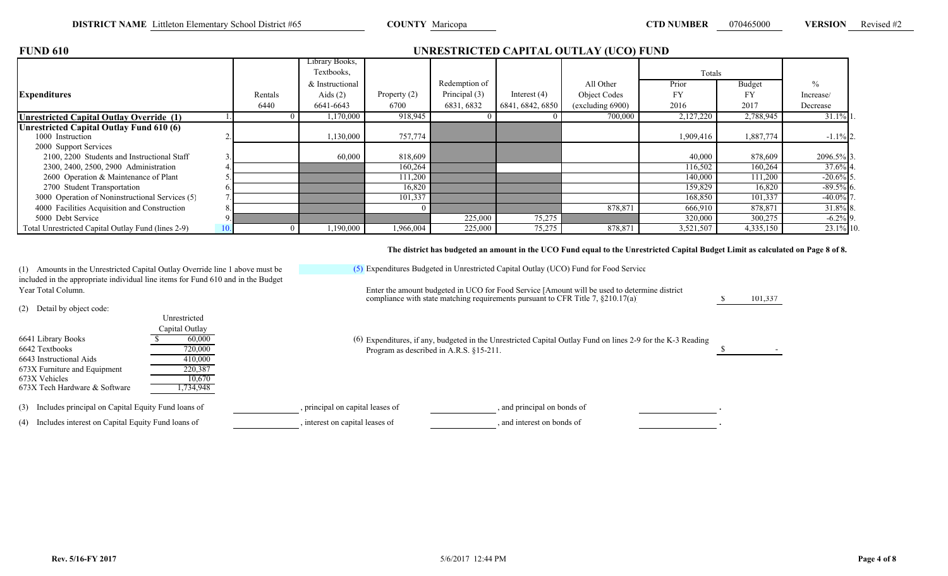\$ 101,337

| <b>FUND 610</b>                                    |         | UNRESTRICTED CAPITAL OUTLAY (UCO) FUND |              |               |                  |                  |           |           |               |  |  |  |  |
|----------------------------------------------------|---------|----------------------------------------|--------------|---------------|------------------|------------------|-----------|-----------|---------------|--|--|--|--|
|                                                    |         | Library Books,                         |              |               |                  |                  |           |           |               |  |  |  |  |
|                                                    |         | Textbooks,                             |              |               |                  |                  | Totals    |           |               |  |  |  |  |
|                                                    |         | & Instructional                        |              | Redemption of |                  | All Other        | Prior     | Budget    | $\frac{0}{0}$ |  |  |  |  |
| <b>Expenditures</b>                                | Rentals | Aids $(2)$                             | Property (2) | Principal (3) | Interest $(4)$   | Object Codes     | <b>FY</b> | FY        | Increase/     |  |  |  |  |
|                                                    | 6440    | 6641-6643                              | 6700         | 6831, 6832    | 6841, 6842, 6850 | (excluding 6900) | 2016      | 2017      | Decrease      |  |  |  |  |
| <b>Unrestricted Capital Outlay Override (1)</b>    |         | 1,170,000                              | 918,945      |               |                  | 700,000          | 2,127,220 | 2,788,945 | $31.1\%$ 1.   |  |  |  |  |
| Unrestricted Capital Outlay Fund 610 (6)           |         |                                        |              |               |                  |                  |           |           |               |  |  |  |  |
| 1000 Instruction                                   |         | 1,130,000                              | 757,774      |               |                  |                  | 1,909,416 | 1,887,774 | $-1.1\%$ 2.   |  |  |  |  |
| 2000 Support Services                              |         |                                        |              |               |                  |                  |           |           |               |  |  |  |  |
| 2100, 2200 Students and Instructional Staff        |         | 60,000                                 | 818,609      |               |                  |                  | 40,000    | 878,609   | 2096.5% 3.    |  |  |  |  |
| 2300, 2400, 2500, 2900 Administration              |         |                                        | 160,264      |               |                  |                  | 116,502   | 160,264   | $37.6\%$ 4.   |  |  |  |  |
| 2600 Operation & Maintenance of Plant              |         |                                        | 111,200      |               |                  |                  | 140,000   | 111,200   | $-20.6\%$ 5   |  |  |  |  |
| 2700 Student Transportation                        |         |                                        | 16,820       |               |                  |                  | 159,829   | 16,820    | $-89.5\%$ 6.  |  |  |  |  |
| 3000 Operation of Noninstructional Services (5)    |         |                                        | 101,337      |               |                  |                  | 168,850   | 101,337   | $-40.0\%$ 7   |  |  |  |  |
| 4000 Facilities Acquisition and Construction       |         |                                        |              |               |                  | 878,871          | 666,910   | 878,871   | 31.8% 8.      |  |  |  |  |
| 5000 Debt Service                                  |         |                                        |              | 225,000       | 75,275           |                  | 320,000   | 300,275   | $-6.2\%$ 9.   |  |  |  |  |
| Total Unrestricted Capital Outlay Fund (lines 2-9) |         | 1,190,000                              | 1,966,004    | 225,000       | 75,275           | 878,871          | 3,521,507 | 4,335,150 | 23.1% 10.     |  |  |  |  |

**The district has budgeted an amount in the UCO Fund equal to the Unrestricted Capital Budget Limit as calculated on Page 8 of 8.**

(1) Amounts in the Unrestricted Capital Outlay Override line 1 above must be included in the appropriate individual line items for Fund 610 and in the Budget Year Total Column. Enter the amount budgeted in UCO for Food Service [Amount will be used to determine district

(2) Detail by object code:

| Unrestricted<br>Capital Outlay<br>6641 Library Books<br>60,000<br>(6) Expenditures, if any, budgeted in the Unrestricted Capital Outlay Fund on lines 2-9 for the K-3 Reading |  |
|-------------------------------------------------------------------------------------------------------------------------------------------------------------------------------|--|
| 720,000<br>6642 Textbooks<br>Program as described in A.R.S. §15-211.                                                                                                          |  |
| 6643 Instructional Aids<br>410,000                                                                                                                                            |  |
| 673X Furniture and Equipment<br>220,387                                                                                                                                       |  |
| 673X Vehicles<br>10.670                                                                                                                                                       |  |
| 673X Tech Hardware & Software<br>1,734,948                                                                                                                                    |  |
| (3) Includes principal on Capital Equity Fund loans of<br>, and principal on bonds of<br>, principal on capital leases of                                                     |  |
| (4) Includes interest on Capital Equity Fund loans of<br>, interest on capital leases of<br>and interest on bonds of                                                          |  |

(5) Expenditures Budgeted in Unrestricted Capital Outlay (UCO) Fund for Food Service

compliance with state matching requirements pursuant to CFR Title 7, §210.17(a)]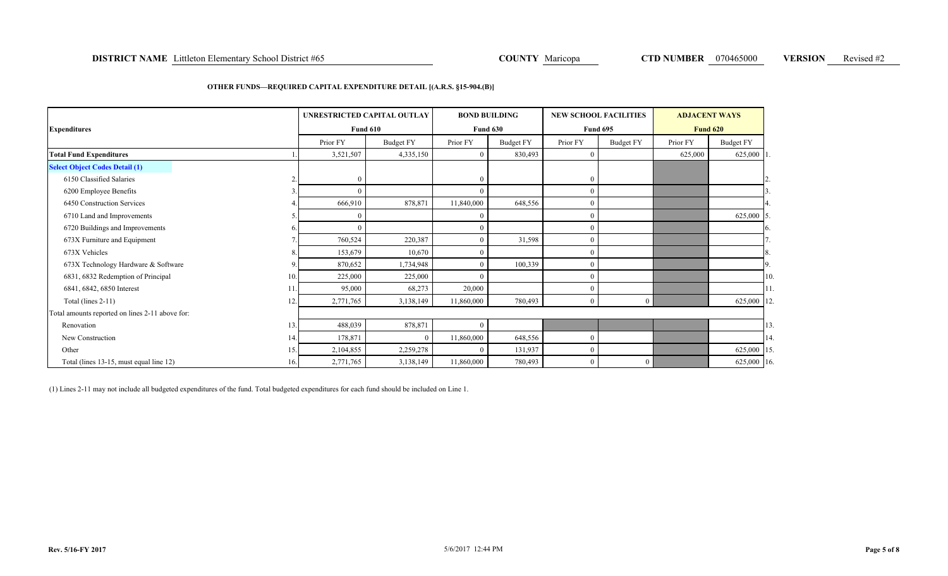### **DISTRICT NAME** Littleton Elementary School District #65 **COUNTY Anticopa COUNTY Maricopa CTD NUMBER** 070465000 **VERSION** Revised #2

### **OTHER FUNDS—REQUIRED CAPITAL EXPENDITURE DETAIL [(A.R.S. §15-904.(B)]**

| <b>Expenditures</b>                             |     |                | UNRESTRICTED CAPITAL OUTLAY<br><b>Fund 610</b> | <b>BOND BUILDING</b> | <b>Fund 630</b>  | <b>NEW SCHOOL FACILITIES</b> | <b>Fund 695</b> | <b>ADJACENT WAYS</b><br><b>Fund 620</b> |            |                |
|-------------------------------------------------|-----|----------------|------------------------------------------------|----------------------|------------------|------------------------------|-----------------|-----------------------------------------|------------|----------------|
|                                                 |     | Prior FY       | <b>Budget FY</b>                               | Prior FY             | <b>Budget FY</b> | Prior FY                     | Budget FY       | Prior FY                                | Budget FY  |                |
| <b>Total Fund Expenditures</b>                  |     | 3,521,507      | 4,335,150                                      | $\overline{0}$       | 830,493          | $\mathbf{0}$                 |                 | 625,000                                 | 625,000 1  |                |
| <b>Select Object Codes Detail (1)</b>           |     |                |                                                |                      |                  |                              |                 |                                         |            |                |
| 6150 Classified Salaries                        |     | $\overline{0}$ |                                                | $\theta$             |                  | 0                            |                 |                                         |            |                |
| 6200 Employee Benefits                          |     | $\mathbf{0}$   |                                                | $\Omega$             |                  | $\left($                     |                 |                                         |            |                |
| 6450 Construction Services                      |     | 666,910        | 878,871                                        | 11,840,000           | 648,556          |                              |                 |                                         |            |                |
| 6710 Land and Improvements                      |     | $\mathbf{0}$   |                                                | $\Omega$             |                  | C                            |                 |                                         | 625,000 5. |                |
| 6720 Buildings and Improvements                 |     | $\theta$       |                                                | $\Omega$             |                  |                              |                 |                                         |            | <sup>6</sup> . |
| 673X Furniture and Equipment                    |     | 760,524        | 220,387                                        | $\Omega$             | 31,598           | $\left($                     |                 |                                         |            |                |
| 673X Vehicles                                   |     | 153,679        | 10,670                                         | $\Omega$             |                  |                              |                 |                                         |            | 8.             |
| 673X Technology Hardware & Software             |     | 870,652        | 1,734,948                                      | $\Omega$             | 100,339          |                              |                 |                                         |            | 9.             |
| 6831, 6832 Redemption of Principal              | 10. | 225,000        | 225,000                                        | $\Omega$             |                  |                              |                 |                                         |            | 10             |
| 6841, 6842, 6850 Interest                       |     | 95,000         | 68,273                                         | 20,000               |                  | $\left($                     |                 |                                         |            | 111            |
| Total (lines 2-11)                              | 12  | 2,771,765      | 3,138,149                                      | 11,860,000           | 780,493          | $\Omega$                     | $\theta$        |                                         | 625,000 12 |                |
| Total amounts reported on lines 2-11 above for: |     |                |                                                |                      |                  |                              |                 |                                         |            |                |
| Renovation                                      | 13. | 488,039        | 878,871                                        | $\theta$             |                  |                              |                 |                                         |            | 13             |
| New Construction                                | 14. | 178,871        | $\overline{0}$                                 | 11,860,000           | 648,556          |                              |                 |                                         |            | 14             |
| Other                                           | 15. | 2,104,855      | 2,259,278                                      | $\Omega$             | 131,937          |                              |                 |                                         | 625,000 15 |                |
| Total (lines 13-15, must equal line 12)         | 16. | 2,771,765      | 3,138,149                                      | 11,860,000           | 780,493          |                              | $\theta$        |                                         | 625,000 16 |                |

(1) Lines 2-11 may not include all budgeted expenditures of the fund. Total budgeted expenditures for each fund should be included on Line 1.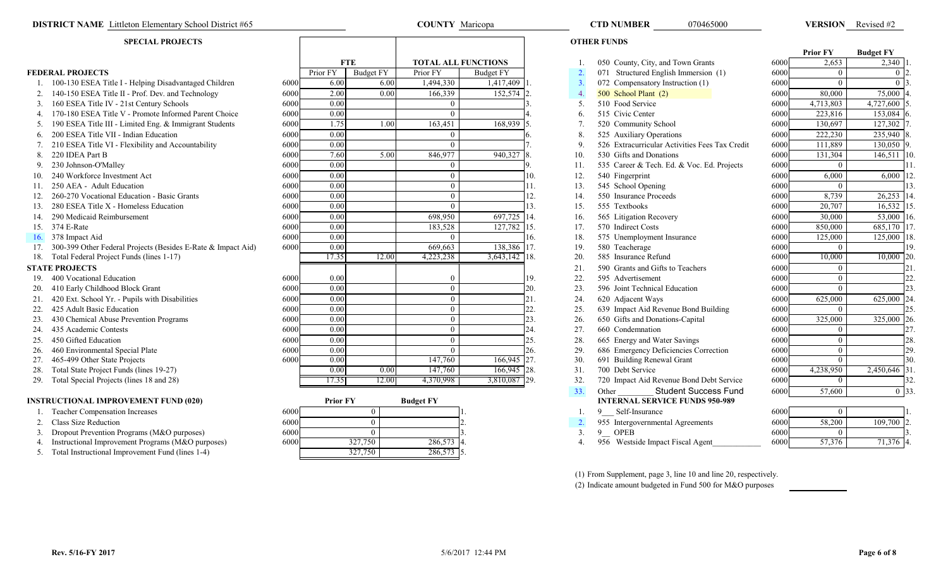### **DISTRICT NAME** Littleton Elementary School District #65 **COUNTY Maricopa** COUNTY Maricopa **COUNTY Maricopa** CTD NUMBER 070465000 VERSION

# **SPECIAL PROJECTS**

|     |                                                              |      |                 |                  |                  |                            |     |                  |                                                |      | <b>Prior FY</b> | <b>Budget FY</b> |    |
|-----|--------------------------------------------------------------|------|-----------------|------------------|------------------|----------------------------|-----|------------------|------------------------------------------------|------|-----------------|------------------|----|
|     |                                                              |      |                 | <b>FTE</b>       |                  | <b>TOTAL ALL FUNCTIONS</b> |     |                  | 050 County, City, and Town Grants              | 6000 | 2,653           | 2,340            |    |
|     | <b>FEDERAL PROJECTS</b>                                      |      | Prior FY        | <b>Budget FY</b> | Prior FY         | <b>Budget FY</b>           |     | $\overline{2}$   | 071 Structured English Immersion (1)           | 6000 | $\Omega$        |                  |    |
|     | 100-130 ESEA Title I - Helping Disadvantaged Children        | 6000 | 6.00            | 6.00             | 1,494,330        | 1,417,409                  |     | $\overline{3}$ . | 072 Compensatory Instruction (1)               | 6000 | $\Omega$        |                  |    |
|     | 140-150 ESEA Title II - Prof. Dev. and Technology            | 6000 | 2.00            | 0.00             | 166,339          | 152,574 2                  |     | $\overline{4}$   | 500 School Plant (2)                           | 6000 | 80,000          | 75,000           |    |
|     | 160 ESEA Title IV - 21st Century Schools                     | 6000 | 0.00            |                  | $\Omega$         |                            |     | -5               | 510 Food Service                               | 6000 | 4,713,803       | 4,727,600        |    |
|     | 170-180 ESEA Title V - Promote Informed Parent Choice        | 6000 | 0.00            |                  | $\Omega$         |                            |     | -6               | 515 Civic Center                               | 6000 | 223,816         | 153,084          |    |
|     | 190 ESEA Title III - Limited Eng. & Immigrant Students       | 6000 | 1.75            | 1.00             | 163,451          | 168,939                    |     |                  | 520 Community School                           | 6000 | 130.697         | 127,302          |    |
| 6.  | 200 ESEA Title VII - Indian Education                        | 6000 | 0.00            |                  | $\Omega$         |                            |     | 8                | 525 Auxiliary Operations                       | 6000 | 222,230         | 235,940          |    |
|     | 210 ESEA Title VI - Flexibility and Accountability           | 6000 | 0.00            |                  | $\Omega$         |                            |     | 9                | 526 Extracurricular Activities Fees Tax Credit | 6000 | 111.889         | 130,050          |    |
| 8.  | 220 IDEA Part B                                              | 6000 | 7.60            | 5.00             | 846,977          | 940,327                    |     | 10.              | 530 Gifts and Donations                        | 6000 | 131,304         | 146,511 10       |    |
|     | 230 Johnson-O'Malley                                         | 6000 | 0.00            |                  |                  |                            |     | 11               | 535 Career & Tech. Ed. & Voc. Ed. Projects     | 6000 | $\Omega$        |                  |    |
|     | 240 Workforce Investment Act                                 | 6000 | 0.00            |                  | $\Omega$         |                            | 10. | 12.              | 540 Fingerprint                                | 6000 | 6,000           | 6,000            |    |
|     | 250 AEA - Adult Education                                    | 6000 | 0.00            |                  | $\theta$         |                            | 11. | 13.              | 545 School Opening                             | 6000 | $\theta$        |                  |    |
|     | 260-270 Vocational Education - Basic Grants                  | 6000 | 0.00            |                  | $\theta$         |                            | 12. | 14.              | 550 Insurance Proceeds                         | 6000 | 8,739           | 26,253           |    |
| 13. | 280 ESEA Title X - Homeless Education                        | 6000 | 0.00            |                  | $\Omega$         |                            |     | 15.              | 555 Textbooks                                  | 6000 | 20,707          | 16,532           |    |
| 14. | 290 Medicaid Reimbursement                                   | 6000 | 0.00            |                  | 698,950          | 697,725 14.                |     | 16.              | 565 Litigation Recovery                        | 6000 | 30,000          | 53,000           |    |
|     | 15. 374 E-Rate                                               | 6000 | 0.00            |                  | 183,528          | 127,782 15.                |     | 17.              | 570 Indirect Costs                             | 6000 | 850,000         | 685,170          |    |
| 16. | 378 Impact Aid                                               | 6000 | 0.00            |                  | $\Omega$         |                            | 16. | 18.              | 575 Unemployment Insurance                     | 6000 | 125,000         | 125,000          |    |
|     | 300-399 Other Federal Projects (Besides E-Rate & Impact Aid) | 6000 | 0.00            |                  | 669,663          | 138,386 17.                |     | 19.              | 580 Teacherage                                 | 6000 | $\Omega$        |                  |    |
| 18. | Total Federal Project Funds (lines 1-17)                     |      | 17.35           | 12.00            | 4,223,238        | 3,643,142 18.              |     | 20.              | 585 Insurance Refund                           | 6000 | 10,000          | 10,000 20        |    |
|     | <b>STATE PROJECTS</b>                                        |      |                 |                  |                  |                            |     | 21               | 590 Grants and Gifts to Teachers               | 6000 | $\theta$        |                  | 21 |
|     | 400 Vocational Education                                     | 6000 | 0.00            |                  |                  |                            | 19. | 22.              | 595 Advertisement                              | 6000 | $\theta$        |                  |    |
|     | 410 Early Childhood Block Grant                              | 6000 | 0.00            |                  | $\theta$         |                            | 20. | 23.              | 596 Joint Technical Education                  | 6000 | $\theta$        |                  |    |
| 21. | 420 Ext. School Yr. - Pupils with Disabilities               | 6000 | 0.00            |                  | $\theta$         |                            | 21. | 24.              | 620 Adjacent Ways                              | 6000 | 625,000         | 625,000 2        |    |
| 22. | 425 Adult Basic Education                                    | 6000 | 0.00            |                  | $\theta$         |                            | 22. | 25.              | 639 Impact Aid Revenue Bond Building           | 6000 | $\theta$        |                  |    |
|     | 430 Chemical Abuse Prevention Programs                       | 6000 | 0.00            |                  | $\Omega$         |                            | 23. | 26.              | 650 Gifts and Donations-Capital                | 6000 | 325,000         | 325,000 26       |    |
|     | 435 Academic Contests                                        | 6000 | 0.00            |                  | $\Omega$         |                            | 24. | 27.              | 660 Condemnation                               | 6000 | $\theta$        |                  |    |
| 25. | 450 Gifted Education                                         | 6000 | 0.00            |                  | $\Omega$         |                            | 25. | 28.              | 665 Energy and Water Savings                   | 6000 | $\Omega$        |                  |    |
| 26. | 460 Environmental Special Plate                              | 6000 | 0.00            |                  | $\Omega$         |                            | 26. | 29.              | 686 Emergency Deficiencies Correction          | 6000 | $\theta$        |                  | 29 |
|     | 465-499 Other State Projects                                 | 6000 | 0.00            |                  | 147,760          | 166,945 27.                |     | 30.              | 691 Building Renewal Grant                     | 6000 | $\overline{0}$  |                  | 30 |
| 28. | Total State Project Funds (lines 19-27)                      |      | 0.00            | 0.00             | 147,760          | 166,945 28.                |     | 31.              | 700 Debt Service                               | 6000 | 4,238,950       | 2,450,646 31     |    |
|     | 29. Total Special Projects (lines 18 and 28)                 |      | 17.35           | 12.00            | 4,370,998        | 3,810,087 29.              |     | 32.              | 720 Impact Aid Revenue Bond Debt Service       | 6000 | $\theta$        |                  |    |
|     |                                                              |      |                 |                  |                  |                            |     | 33.              | <b>Student Success Fund</b><br>Other           | 6000 | 57,600          | 0 33             |    |
|     | <b>INSTRUCTIONAL IMPROVEMENT FUND (020)</b>                  |      | <b>Prior FY</b> |                  | <b>Budget FY</b> |                            |     |                  | <b>INTERNAL SERVICE FUNDS 950-989</b>          |      |                 |                  |    |
|     |                                                              |      |                 |                  |                  |                            |     |                  |                                                |      |                 |                  |    |

| SINUCTIONAL IMFNOVEMENT FUND (020)                   | ттюг г і        | Duuget F I | INTENNAL SENVICE FUNDS 250-202   |      |        |         |
|------------------------------------------------------|-----------------|------------|----------------------------------|------|--------|---------|
| <b>Teacher Compensation Increases</b>                | 6000            |            | Self-Insurance                   | 6000 |        |         |
| Class Size Reduction                                 | 6000            |            | 955 Intergovernmental Agreements | 6000 | 58,200 | 109,700 |
| Dropout Prevention Programs (M&O purposes)           | 6000            |            | <b>OPEB</b>                      | 6000 |        |         |
| 4. Instructional Improvement Programs (M&O purposes) | 327,750<br>6000 | 286,573 4  | 956 Westside Impact Fiscal Agent | 6000 |        | 71.376  |
| Total Instructional Improvement Fund (lines 1-4)     | 327,750         | 286,573 5  |                                  |      |        |         |

| <b>SPECIAL PROJECTS</b>                                         |      |                   |                  |                            |                  |            |    | <b>OTHER FUNDS</b>                             |      |                 |                  |     |
|-----------------------------------------------------------------|------|-------------------|------------------|----------------------------|------------------|------------|----|------------------------------------------------|------|-----------------|------------------|-----|
|                                                                 |      |                   |                  |                            |                  |            |    |                                                |      | <b>Prior FY</b> | <b>Budget FY</b> |     |
|                                                                 |      |                   | <b>FTE</b>       | <b>TOTAL ALL FUNCTIONS</b> |                  |            |    | 050 County, City, and Town Grants              | 6000 | 2,653           | 2,340            |     |
| <b>DERAL PROJECTS</b>                                           |      | Prior FY          | <b>Budget FY</b> | Prior FY                   | <b>Budget FY</b> |            |    | 071 Structured English Immersion (1)           | 6000 |                 |                  |     |
| 1. 100-130 ESEA Title I - Helping Disadvantaged Children        | 6000 | 6.00              | 6.00             | 1,494,330                  | 1,417,409        | 3.         |    | 072 Compensatory Instruction (1)               | 6000 |                 |                  |     |
| 140-150 ESEA Title II - Prof. Dev. and Technology               | 6000 | 2.00              | 0.00             | 166,339                    | 152,574          | 4.         |    | 500 School Plant (2)                           | 6000 | 80,000          | 75,000           |     |
| 3. 160 ESEA Title IV - 21st Century Schools                     | 6000 | 0.00              |                  | $\Omega$                   |                  |            |    | 510 Food Service                               | 6000 | 4,713,803       | 4,727,600        |     |
| 4. 170-180 ESEA Title V - Promote Informed Parent Choice        | 6000 | 0.00              |                  |                            |                  |            |    | 515 Civic Center                               | 6000 | 223,816         | 153,084          |     |
| 5. 190 ESEA Title III - Limited Eng. & Immigrant Students       | 6000 | 1.75              | 1.00             | 163,451                    | 168,939          |            |    | 520 Community School                           | 6000 | 130,697         | 127,302          |     |
| 6. 200 ESEA Title VII - Indian Education                        | 6000 | 0.00              |                  | $\Omega$                   |                  |            |    | 525 Auxiliary Operations                       | 6000 | 222,230         | 235,940          |     |
| 210 ESEA Title VI - Flexibility and Accountability              | 6000 | 0.00              |                  | $\Omega$                   |                  | 9.         |    | 526 Extracurricular Activities Fees Tax Credit | 6000 | 111,889         | 130,050          |     |
| 8. 220 IDEA Part B                                              | 6000 | 7.60              | 5.00             | 846,977                    | 940,327          | 10.        |    | 530 Gifts and Donations                        | 6000 | 131,304         | 146,511 10       |     |
| 9. 230 Johnson-O'Malley                                         | 6000 | 0.00              |                  | $\theta$                   |                  | 11.        |    | 535 Career & Tech. Ed. & Voc. Ed. Projects     | 6000 |                 |                  |     |
| 240 Workforce Investment Act                                    | 6000 | $\overline{0.00}$ |                  | $\theta$                   |                  | 12.<br>10. |    | 540 Fingerprint                                | 6000 | 6,000           | 6,000            |     |
| 250 AEA - Adult Education                                       | 6000 | 0.00              |                  | $\theta$                   |                  | 13.        |    | 545 School Opening                             | 6000 |                 |                  |     |
| 260-270 Vocational Education - Basic Grants                     | 6000 | 0.00              |                  | $\Omega$                   |                  | 12.<br>14. |    | 550 Insurance Proceeds                         | 6000 | 8,739           | $26,253$ 1       |     |
| 280 ESEA Title X - Homeless Education                           | 6000 | 0.00              |                  | $\Omega$                   |                  | 13.<br>15. |    | 555 Textbooks                                  | 6000 | 20,707          | 16,532           |     |
| 4. 290 Medicaid Reimbursement                                   | 6000 | 0.00              |                  | 698,950                    | 697,725          | 14.<br>16. |    | 565 Litigation Recovery                        | 6000 | 30,000          | $53,000$ 16.     |     |
| 5. 374 E-Rate                                                   | 6000 | 0.00              |                  | 183,528                    | 127,782          | 15.<br>17. |    | 570 Indirect Costs                             | 6000 | 850,000         | 685,170 1        |     |
| 6. 378 Impact Aid                                               | 6000 | 0.00              |                  |                            |                  | 16.<br>18. |    | 575 Unemployment Insurance                     | 6000 | 125,000         | $125,000$ 1      |     |
| 7. 300-399 Other Federal Projects (Besides E-Rate & Impact Aid) | 6000 | 0.00              |                  | 669,663                    | 138,386 17.      | 19.        |    | 580 Teacherage                                 | 6000 |                 |                  | 19  |
| 8. Total Federal Project Funds (lines 1-17)                     |      | 17.35             | 12.00            | 4,223,238                  | 3,643,142 18.    | 20.        |    | 585 Insurance Refund                           | 6000 | 10,000          | 10,000 20        |     |
| <b>ATE PROJECTS</b>                                             |      |                   |                  |                            |                  | 21.        |    | 590 Grants and Gifts to Teachers               | 6000 |                 |                  | 2.1 |
| 9. 400 Vocational Education                                     | 6000 | 0.00              |                  |                            |                  | 22.<br>19. |    | 595 Advertisement                              | 6000 |                 |                  | 22  |
| 0. 410 Early Childhood Block Grant                              | 6000 | 0.00              |                  | $\Omega$                   |                  | 20.<br>23. |    | 596 Joint Technical Education                  | 6000 |                 |                  |     |
| 1. 420 Ext. School Yr. - Pupils with Disabilities               | 6000 | 0.00              |                  | $\Omega$                   |                  | 24.        |    | 620 Adjacent Ways                              | 6000 | 625,000         | 625,000 24       |     |
| 2. 425 Adult Basic Education                                    | 6000 | 0.00              |                  |                            |                  | 22.<br>25. |    | 639 Impact Aid Revenue Bond Building           | 6000 |                 |                  |     |
| 3. 430 Chemical Abuse Prevention Programs                       | 6000 | 0.00              |                  | $\Omega$                   |                  | 23.<br>26. |    | 650 Gifts and Donations-Capital                | 6000 | 325,000         | 325,000 26       |     |
| 4. 435 Academic Contests                                        | 6000 | 0.00              |                  | $\Omega$                   |                  | 27.        |    | 660 Condemnation                               | 6000 |                 |                  | 27  |
| 5. 450 Gifted Education                                         | 6000 | 0.00              |                  | $\Omega$                   |                  | 25.<br>28. |    | 665 Energy and Water Savings                   | 6000 |                 |                  | 28  |
| 6. 460 Environmental Special Plate                              | 6000 | 0.00              |                  | $\Omega$                   |                  | 29.<br>26. |    | 686 Emergency Deficiencies Correction          | 6000 |                 |                  | 29  |
| 465-499 Other State Projects                                    | 6000 | 0.00              |                  | 147,760                    | 166,945 27.      | 30.        |    | 691 Building Renewal Grant                     | 6000 | $\Omega$        |                  | 30  |
| 8. Total State Project Funds (lines 19-27)                      |      | 0.00              | 0.00             | 147,760                    | 166,945 28.      | 31.        |    | 700 Debt Service                               | 6000 | 4,238,950       | 2,450,646 31     |     |
| 9. Total Special Projects (lines 18 and 28)                     |      | 17.35             | 12.00            | 4,370,998                  | 3,810,087 29.    | 32.        |    | 720 Impact Aid Revenue Bond Debt Service       | 6000 | $\Omega$        |                  |     |
|                                                                 |      |                   |                  |                            |                  | 33.        |    | <b>Student Success Fund</b><br>Other           | 6000 | 57,600          | 0.133            |     |
| <b>STRUCTIONAL IMPROVEMENT FUND (020)</b>                       |      | <b>Prior FY</b>   |                  | <b>Budget FY</b>           |                  |            |    | <b>INTERNAL SERVICE FUNDS 950-989</b>          |      |                 |                  |     |
| 1. Teacher Compensation Increases                               | 6000 |                   | $\mathbf{0}$     |                            |                  |            |    | Self-Insurance                                 | 6000 |                 |                  |     |
| 2. Class Size Reduction                                         | 6000 |                   | $\overline{0}$   |                            |                  |            | 2. | 955 Intergovernmental Agreements               | 6000 | 58,200          | 109,700 2        |     |
| $\sim$ $\sim$<br>$\sim$ $\sim$                                  |      |                   |                  |                            |                  |            |    |                                                |      |                 |                  |     |

- 
- 

(1) From Supplement, page 3, line 10 and line 20, respectively. (2) Indicate amount budgeted in Fund 500 for M&O purposes

**Page 6 of 8**

070465000

VERSION Revised #2

| $, \tau \cup \mathcal{A}$ | ı.  | J.  | $0/2$ Compensatory in |
|---------------------------|-----|-----|-----------------------|
| 2,574                     | 2.  | 4.  | 500 School Plant (2)  |
|                           | 3.  | 5.  | 510 Food Service      |
|                           | 4.  | 6.  | 515 Civic Center      |
| $\overline{3,939}$        | 5.  | 7.  | 520 Community Scho    |
|                           | 6.  | 8.  | 525 Auxiliary Operat  |
|                           | 7.  | 9.  | 526 Extracurricular A |
| 0,327                     | 8.  | 10. | 530 Gifts and Donatio |
|                           | 9.  | 11. | 535 Career & Tech. E  |
|                           | 10. | 12. | 540 Fingerprint       |
|                           | 11. | 13. | 545 School Opening    |
|                           | 12. | 14. | 550 Insurance Procee  |
|                           | 13. | 15. | 555 Textbooks         |
| 7,725                     | 14. | 16. | 565 Litigation Recove |
| ,782                      | 15. | 17. | 570 Indirect Costs    |
|                           | 16. | 18. | 575 Unemployment In   |
| $\sqrt{3,386}$            | 17. | 19. | 580 Teacherage        |
| 3,142                     | 18. | 20. | 585 Insurance Refund  |
|                           |     | 21. | 590 Grants and Gifts  |
|                           | 19. | 22. | 595 Advertisement     |
|                           | 20. | 23. | 596 Joint Technical E |
|                           | 21. | 24. | 620 Adjacent Ways     |
|                           | 22. | 25. | 639 Impact Aid Reve   |
|                           |     |     |                       |

**COUNTY** Maricopa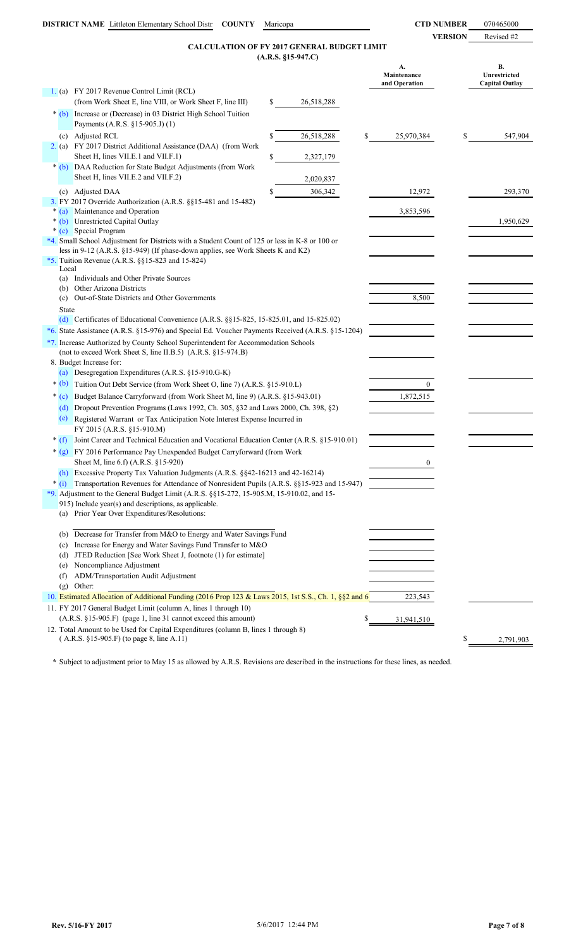**VERSION** Revised #2

## **(A.R.S. §15-947.C) CALCULATION OF FY 2017 GENERAL BUDGET LIMIT**

**A. B. Maintenance Unrestricted and Operation Capital Outlay** 1. (a) FY 2017 Revenue Control Limit (RCL) (from Work Sheet E, line VIII, or Work Sheet F, line III) \$ 26,518,288  $*$  (b) (c) Adjusted RCL \$ 26,518,288 \$ 25,970,384 \$ 547,904 2. (a) FY 2017 District Additional Assistance (DAA) (from Work 2,327,179 \* (b) DAA Reduction for State Budget Adjustments (from Work 2,020,837 (c) Adjusted DAA  $$306,342$   $12,972$   $293,370$ 3. FY 2017 Override Authorization (A.R.S. §§15-481 and 15-482) \* (a) Maintenance and Operation 3,853,596 \* (b) Unrestricted Capital Outlay 1,950,629 \* (c) Special Program \*4. Small School Adjustment for Districts with a Student Count of 125 or less in K-8 or 100 or \*5. Tuition Revenue (A.R.S. §§15-823 and 15-824) Local (a) Individuals and Other Private Sources (b) Other Arizona Districts (c) Out-of-State Districts and Other Governments 8,500 State (d) Certificates of Educational Convenience (A.R.S. §§15-825, 15-825.01, and 15-825.02) \*6. State Assistance (A.R.S. §15-976) and Special Ed. Voucher Payments Received (A.R.S. §15-1204) \*7. Increase Authorized by County School Superintendent for Accommodation Schools (not to exceed Work Sheet S, line II.B.5) (A.R.S. §15-974.B) 8. Budget Increase for: (a) Desegregation Expenditures (A.R.S. §15-910.G-K) \* (b) Tuition Out Debt Service (from Work Sheet O, line 7) (A.R.S. §15-910.L) 0 \* (c) Budget Balance Carryforward (from Work Sheet M, line 9) (A.R.S. §15-943.01) 1,872,515 (d) Dropout Prevention Programs (Laws 1992, Ch. 305, §32 and Laws 2000, Ch. 398, §2) (e) Registered Warrant or Tax Anticipation Note Interest Expense Incurred in FY 2015 (A.R.S. §15-910.M) \* (f) Joint Career and Technical Education and Vocational Education Center (A.R.S. §15-910.01) \* (g) FY 2016 Performance Pay Unexpended Budget Carryforward (from Work Sheet M, line 6.f) (A.R.S. §15-920) (h) Excessive Property Tax Valuation Judgments (A.R.S. §§42-16213 and 42-16214) \* (i) Transportation Revenues for Attendance of Nonresident Pupils (A.R.S. §§15-923 and 15-947) \*9. Adjustment to the General Budget Limit (A.R.S. §§15-272, 15-905.M, 15-910.02, and 15- (a) Prior Year Over Expenditures/Resolutions: (b) Decrease for Transfer from M&O to Energy and Water Savings Fund (c) Increase for Energy and Water Savings Fund Transfer to M&O (d) JTED Reduction [See Work Sheet J, footnote (1) for estimate] (e) Noncompliance Adjustment (f) ADM/Transportation Audit Adjustment (g) Other: 10. Estimated Allocation of Additional Funding (2016 Prop 123 & Laws 2015, 1st S.S., Ch. 1, §§2 and 6) 223,543 11. FY 2017 General Budget Limit (column A, lines 1 through 10) (A.R.S. §15-905.F) (page 1, line 31 cannot exceed this amount) \$ 12. Total Amount to be Used for Capital Expenditures (column B, lines 1 through 8) ( A.R.S. §15-905.F) (to page 8, line A.11) \$ Increase or (Decrease) in 03 District High School Tuition Payments (A.R.S. §15-905.J) (1) 31,941,510 915) Include year(s) and descriptions, as applicable. less in 9-12 (A.R.S. §15-949) (If phase-down applies, see Work Sheets K and K2) Sheet H, lines VII.E.1 and VII.F.1) Sheet H, lines VII.E.2 and VII.F.2) 2,791,903  $\theta$ 

**\*** Subject to adjustment prior to May 15 as allowed by A.R.S. Revisions are described in the instructions for these lines, as needed.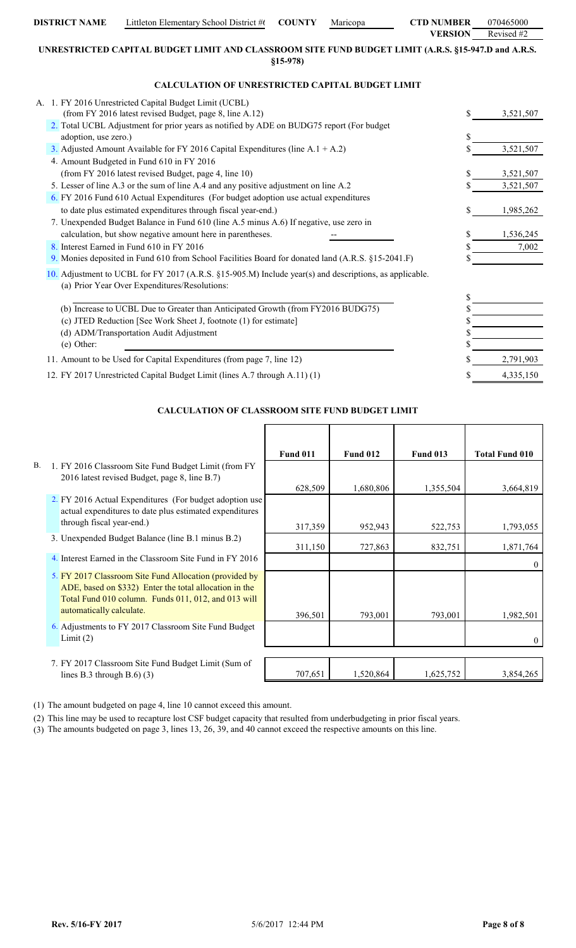|                                                                                                                                                             | <b>VERSION</b> | Revised $#2$ |
|-------------------------------------------------------------------------------------------------------------------------------------------------------------|----------------|--------------|
| UNRESTRICTED CAPITAL BUDGET LIMIT AND CLASSROOM SITE FUND BUDGET LIMIT (A.R.S. §15-947.D and A.R.S.<br>$$15-978$                                            |                |              |
| <b>CALCULATION OF UNRESTRICTED CAPITAL BUDGET LIMIT</b>                                                                                                     |                |              |
| A. 1. FY 2016 Unrestricted Capital Budget Limit (UCBL)                                                                                                      |                |              |
| (from FY 2016 latest revised Budget, page 8, line A.12)                                                                                                     | \$             | 3,521,507    |
| 2. Total UCBL Adjustment for prior years as notified by ADE on BUDG75 report (For budget<br>adoption, use zero.)                                            | \$             |              |
| 3. Adjusted Amount Available for FY 2016 Capital Expenditures (line A.1 + A.2)                                                                              |                | 3,521,507    |
| 4. Amount Budgeted in Fund 610 in FY 2016                                                                                                                   |                |              |
| (from FY 2016 latest revised Budget, page 4, line 10)                                                                                                       | \$             | 3,521,507    |
| 5. Lesser of line A.3 or the sum of line A.4 and any positive adjustment on line A.2                                                                        |                | 3,521,507    |
| 6. FY 2016 Fund 610 Actual Expenditures (For budget adoption use actual expenditures                                                                        |                |              |
| to date plus estimated expenditures through fiscal year-end.)                                                                                               | \$             | 1,985,262    |
| 7. Unexpended Budget Balance in Fund 610 (line A.5 minus A.6) If negative, use zero in                                                                      |                |              |
| calculation, but show negative amount here in parentheses.                                                                                                  | \$             | 1,536,245    |
| 8. Interest Earned in Fund 610 in FY 2016                                                                                                                   | \$             | 7,002        |
| 9. Monies deposited in Fund 610 from School Facilities Board for donated land (A.R.S. §15-2041.F)                                                           | \$             |              |
| 10. Adjustment to UCBL for FY 2017 (A.R.S. $\S15-905$ .M) Include year(s) and descriptions, as applicable.<br>(a) Prior Year Over Expenditures/Resolutions: | \$             |              |
| (b) Increase to UCBL Due to Greater than Anticipated Growth (from FY2016 BUDG75)                                                                            |                |              |
| (c) JTED Reduction [See Work Sheet J, footnote (1) for estimate]                                                                                            |                |              |
| (d) ADM/Transportation Audit Adjustment                                                                                                                     |                |              |
| (e) Other:                                                                                                                                                  |                |              |
| 11. Amount to be Used for Capital Expenditures (from page 7, line 12)                                                                                       |                | 2,791,903    |
| 12. FY 2017 Unrestricted Capital Budget Limit (lines A.7 through A.11) (1)                                                                                  |                | 4,335,150    |

**DISTRICT NAME** Littleton Elementary School District #6 **COUNTY** Maricopa **CTD NUMBER** 070465000

# **CALCULATION OF CLASSROOM SITE FUND BUDGET LIMIT**

|           |                                                                                                                                                                                                     | <b>Fund 011</b> | <b>Fund 012</b> | <b>Fund 013</b> | <b>Total Fund 010</b> |
|-----------|-----------------------------------------------------------------------------------------------------------------------------------------------------------------------------------------------------|-----------------|-----------------|-----------------|-----------------------|
| <b>B.</b> | 1. FY 2016 Classroom Site Fund Budget Limit (from FY                                                                                                                                                |                 |                 |                 |                       |
|           | 2016 latest revised Budget, page 8, line B.7)                                                                                                                                                       |                 |                 |                 |                       |
|           | 2. FY 2016 Actual Expenditures (For budget adoption use<br>actual expenditures to date plus estimated expenditures                                                                                  | 628,509         | 1,680,806       | 1,355,504       | 3,664,819             |
|           | through fiscal year-end.)                                                                                                                                                                           | 317,359         | 952,943         | 522,753         | 1,793,055             |
|           | 3. Unexpended Budget Balance (line B.1 minus B.2)                                                                                                                                                   | 311,150         | 727,863         | 832,751         | 1,871,764             |
|           | 4. Interest Earned in the Classroom Site Fund in FY 2016                                                                                                                                            |                 |                 |                 |                       |
|           | 5. FY 2017 Classroom Site Fund Allocation (provided by<br>ADE, based on \$332) Enter the total allocation in the<br>Total Fund 010 column. Funds 011, 012, and 013 will<br>automatically calculate. | 396,501         | 793,001         | 793,001         | 1,982,501             |
|           | 6. Adjustments to FY 2017 Classroom Site Fund Budget<br>Limit(2)                                                                                                                                    |                 |                 |                 |                       |
|           |                                                                                                                                                                                                     |                 |                 |                 |                       |
|           | 7. FY 2017 Classroom Site Fund Budget Limit (Sum of<br>lines B.3 through B.6 $(3)$                                                                                                                  | 707,651         | 1,520,864       | 1,625,752       | 3,854,265             |

(1) The amount budgeted on page 4, line 10 cannot exceed this amount.

(2) This line may be used to recapture lost CSF budget capacity that resulted from underbudgeting in prior fiscal years.

(3) The amounts budgeted on page 3, lines 13, 26, 39, and 40 cannot exceed the respective amounts on this line.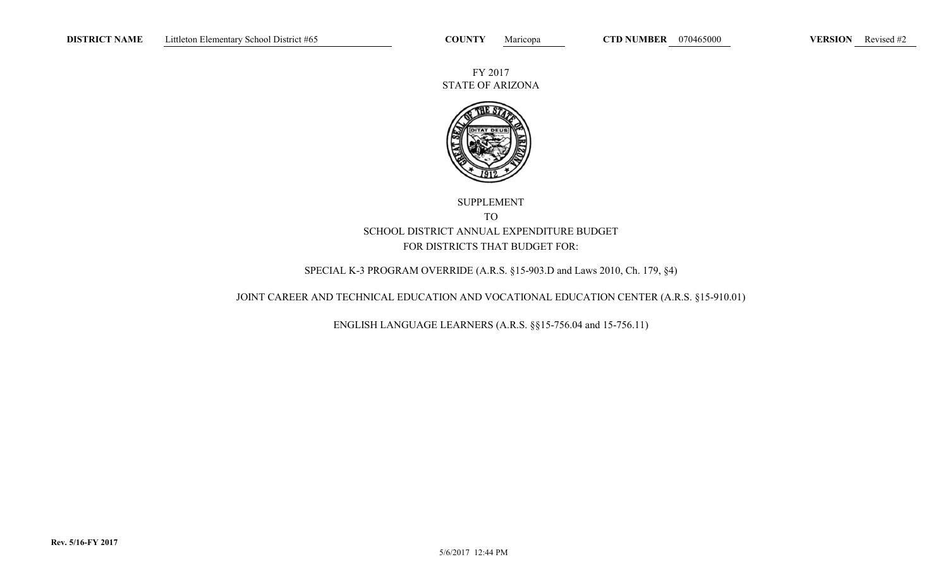FY 2017 STATE OF ARIZONA



# SUPPLEMENT TO SCHOOL DISTRICT ANNUAL EXPENDITURE BUDGETFOR DISTRICTS THAT BUDGET FOR:

## SPECIAL K-3 PROGRAM OVERRIDE (A.R.S. §15-903.D and Laws 2010, Ch. 179, §4)

## JOINT CAREER AND TECHNICAL EDUCATION AND VOCATIONAL EDUCATION CENTER (A.R.S. §15-910.01)

ENGLISH LANGUAGE LEARNERS (A.R.S. §§15-756.04 and 15-756.11)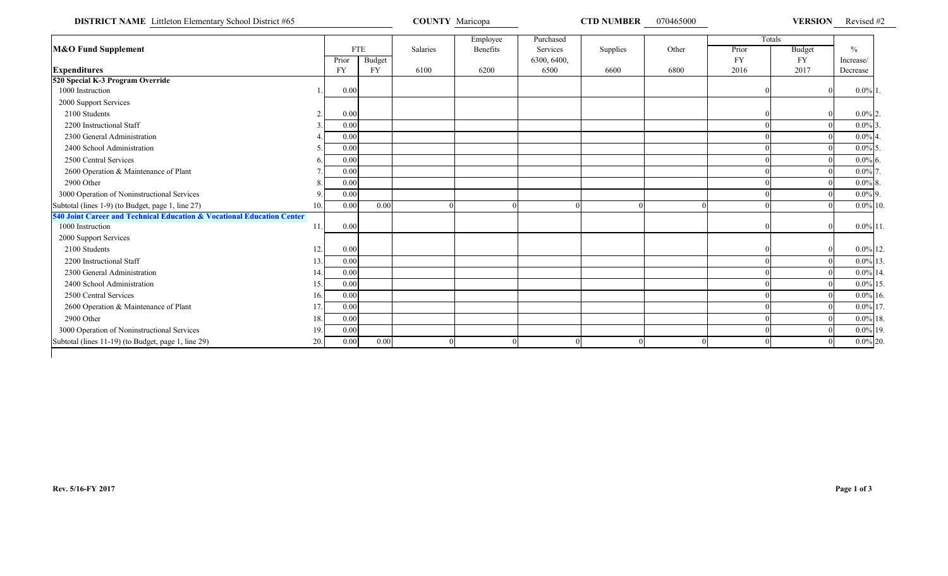**DISTRICT NAME** Littleton Elementary School District #65 **COUNTY Maricopa COUNTY Maricopa CTD NUMBER** 070465000 **VERSION** Revised #2

|                                                                        |     |           |               |          | Employee | Purchased   |          |       |           | Totals    |               |
|------------------------------------------------------------------------|-----|-----------|---------------|----------|----------|-------------|----------|-------|-----------|-----------|---------------|
| <b>M&amp;O Fund Supplement</b>                                         |     |           | <b>FTE</b>    | Salaries | Benefits | Services    | Supplies | Other | Prior     | Budget    | $\frac{0}{0}$ |
|                                                                        |     | Prior     | <b>Budget</b> |          |          | 6300, 6400, |          |       | <b>FY</b> | <b>FY</b> | Increase/     |
| <b>Expenditures</b>                                                    |     | <b>FY</b> | <b>FY</b>     | 6100     | 6200     | 6500        | 6600     | 6800  | 2016      | 2017      | Decrease      |
| 520 Special K-3 Program Override                                       |     |           |               |          |          |             |          |       |           |           |               |
| 1000 Instruction                                                       |     | 0.00      |               |          |          |             |          |       |           |           | $0.0\%$ 1.    |
| 2000 Support Services                                                  |     |           |               |          |          |             |          |       |           |           |               |
| 2100 Students                                                          |     | 0.00      |               |          |          |             |          |       |           |           | $0.0\%$ 2.    |
| 2200 Instructional Staff                                               |     | 0.00      |               |          |          |             |          |       |           |           | $0.0\%$ 3.    |
| 2300 General Administration                                            |     | 0.00      |               |          |          |             |          |       |           |           | $0.0\%$ 4     |
| 2400 School Administration                                             |     | 0.00      |               |          |          |             |          |       |           |           | $0.0\%$ 5     |
| 2500 Central Services                                                  |     | 0.00      |               |          |          |             |          |       |           |           | $0.0\%$ 6.    |
| 2600 Operation & Maintenance of Plant                                  |     | 0.00      |               |          |          |             |          |       |           |           | $0.0\%$ 7     |
| 2900 Other                                                             |     | 0.00      |               |          |          |             |          |       |           |           | $0.0\%$ 8.    |
| 3000 Operation of Noninstructional Services                            |     | 0.00      |               |          |          |             |          |       |           |           | $0.0\%$ 9.    |
| Subtotal (lines 1-9) (to Budget, page 1, line 27)                      | 10. | 0.00      | 0.00          |          |          |             |          |       |           |           | $0.0\%$ 10.   |
| 540 Joint Career and Technical Education & Vocational Education Center |     |           |               |          |          |             |          |       |           |           |               |
| 1000 Instruction                                                       | 11. | 0.00      |               |          |          |             |          |       |           |           | $0.0\%$ 11.   |
| 2000 Support Services                                                  |     |           |               |          |          |             |          |       |           |           |               |
| 2100 Students                                                          | 12. | 0.00      |               |          |          |             |          |       |           |           | $0.0\%$ 12.   |
| 2200 Instructional Staff                                               | 13. | 0.00      |               |          |          |             |          |       |           |           | $0.0\%$ 13.   |
| 2300 General Administration                                            | 14  | 0.00      |               |          |          |             |          |       |           |           | $0.0\%$ 14.   |
| 2400 School Administration                                             | 15. | 0.00      |               |          |          |             |          |       |           |           | $0.0\%$ 15.   |
| 2500 Central Services                                                  | 16. | 0.00      |               |          |          |             |          |       |           |           | $0.0\%$ 16.   |
| 2600 Operation & Maintenance of Plant                                  | 17. | 0.00      |               |          |          |             |          |       |           |           | $0.0\%$ 17.   |
| 2900 Other                                                             | 18. | 0.00      |               |          |          |             |          |       |           |           | $0.0\%$ 18.   |
| 3000 Operation of Noninstructional Services                            | 19. | 0.00      |               |          |          |             |          |       |           |           | $0.0\%$ 19.   |
| Subtotal (lines 11-19) (to Budget, page 1, line 29)                    | 20. | 0.00      | 0.00          |          |          |             |          |       |           |           | $0.0\%$ 20.   |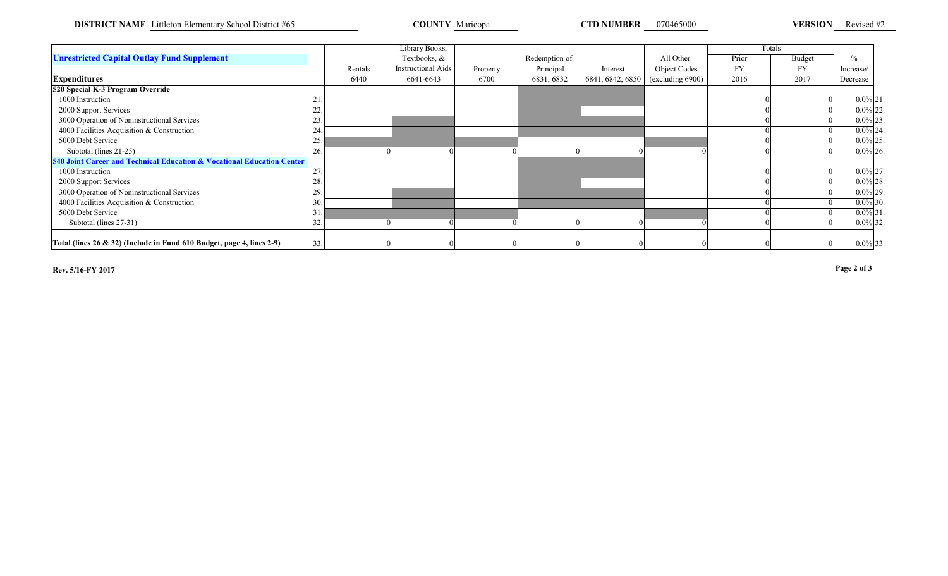**DISTRICT NAME** Littleton Elementary School District #65 **COUNTY** Maricopa **COUNTY Maricopa CTD NUMBER** 070465000 **VERSION** 

VERSION Revised #2

|                                                                        |     |         | Library Books,            |          |               |                  |                  |           | Totals        |               |  |
|------------------------------------------------------------------------|-----|---------|---------------------------|----------|---------------|------------------|------------------|-----------|---------------|---------------|--|
| <b>Unrestricted Capital Outlay Fund Supplement</b>                     |     |         | Textbooks, &              |          | Redemption of |                  | All Other        | Prior     | <b>Budget</b> | $\frac{0}{0}$ |  |
|                                                                        |     | Rentals | <b>Instructional Aids</b> | Property | Principal     | Interest         | Object Codes     | <b>FY</b> | <b>FY</b>     | Increase/     |  |
| <b>Expenditures</b>                                                    |     | 6440    | 6641-6643                 | 6700     | 6831, 6832    | 6841, 6842, 6850 | (excluding 6900) | 2016      | 2017          | Decrease      |  |
| 520 Special K-3 Program Override                                       |     |         |                           |          |               |                  |                  |           |               |               |  |
| 1000 Instruction                                                       | 21. |         |                           |          |               |                  |                  |           |               | $0.0\%$ 21.   |  |
| 2000 Support Services                                                  | 22. |         |                           |          |               |                  |                  |           |               | $0.0\%$ 22.   |  |
| 3000 Operation of Noninstructional Services                            | 23  |         |                           |          |               |                  |                  |           |               | $0.0\%$ 23.   |  |
| 4000 Facilities Acquisition & Construction                             | 24  |         |                           |          |               |                  |                  |           |               | $0.0\%$ 24.   |  |
| 5000 Debt Service                                                      | 25. |         |                           |          |               |                  |                  |           |               | $0.0\%$ 25.   |  |
| Subtotal (lines 21-25)                                                 | 26. |         |                           |          |               |                  |                  |           |               | $0.0\%$ 26.   |  |
| 540 Joint Career and Technical Education & Vocational Education Center |     |         |                           |          |               |                  |                  |           |               |               |  |
| 1000 Instruction                                                       | 27  |         |                           |          |               |                  |                  |           |               | $0.0\%$ 27.   |  |
| 2000 Support Services                                                  | 28  |         |                           |          |               |                  |                  |           |               | $0.0\%$ 28.   |  |
| 3000 Operation of Noninstructional Services                            | 29  |         |                           |          |               |                  |                  |           |               | $0.0\%$ 29.   |  |
| 4000 Facilities Acquisition & Construction                             | 30. |         |                           |          |               |                  |                  |           |               | $0.0\%$ 30.   |  |
| 5000 Debt Service                                                      | 31. |         |                           |          |               |                  |                  |           |               | $0.0\%$ 31.   |  |
| Subtotal (lines 27-31)                                                 | 32. |         |                           |          |               |                  |                  |           |               | $0.0\%$ 32.   |  |
|                                                                        |     |         |                           |          |               |                  |                  |           |               |               |  |
| Total (lines 26 & 32) (Include in Fund 610 Budget, page 4, lines 2-9)  | 33. |         |                           |          |               |                  |                  |           |               | $0.0\%$ 33.   |  |

**Rev. 5/16-FY 2017**

**Page 2 of 3**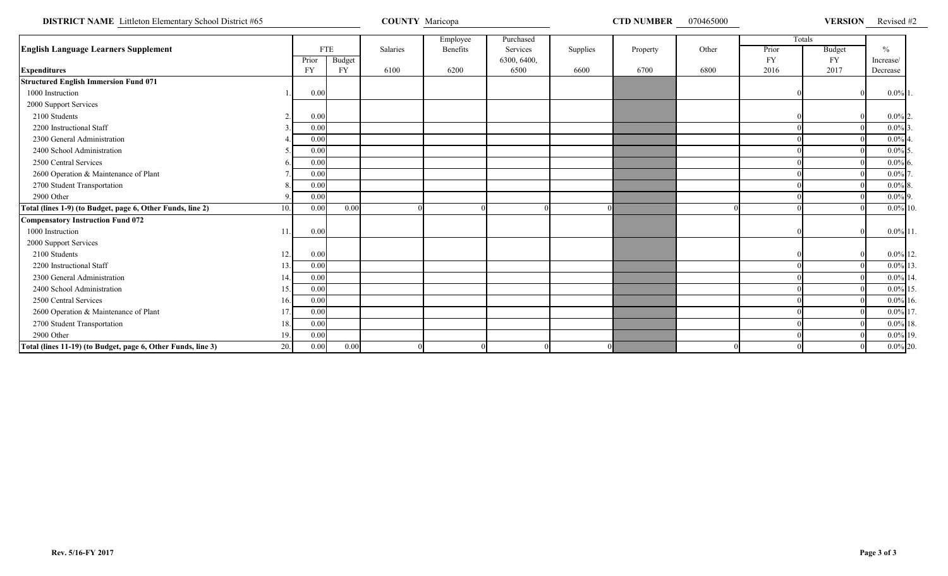**DISTRICT NAME** Littleton Elementary School District #65 **COUNTY Maricopa** COUNTY Maricopa **COUNTY MARICOUNTY MARICOUNTY MARICO** 

0 **VERSION** Revised #2

|                                                                     |           |            |          | Employee | Purchased   |          |          |       |           | Totals    |                      |  |
|---------------------------------------------------------------------|-----------|------------|----------|----------|-------------|----------|----------|-------|-----------|-----------|----------------------|--|
| <b>English Language Learners Supplement</b>                         |           | <b>FTE</b> | Salaries | Benefits | Services    | Supplies | Property | Other | Prior     | Budget    | $\frac{0}{0}$        |  |
|                                                                     | Prior     | Budget     |          |          | 6300, 6400, |          |          |       | <b>FY</b> | <b>FY</b> | Increase/            |  |
| <b>Expenditures</b>                                                 | <b>FY</b> | <b>FY</b>  | 6100     | 6200     | 6500        | 6600     | 6700     | 6800  | 2016      | 2017      | Decrease             |  |
| <b>Structured English Immersion Fund 071</b>                        |           |            |          |          |             |          |          |       |           |           |                      |  |
| 1000 Instruction                                                    | 0.00      |            |          |          |             |          |          |       |           |           | $0.0\%$ 1            |  |
| 2000 Support Services                                               |           |            |          |          |             |          |          |       |           |           |                      |  |
| 2100 Students<br>ി                                                  | 0.00      |            |          |          |             |          |          |       |           |           | $0.0\%$ <sub>2</sub> |  |
| 2200 Instructional Staff                                            | 0.00      |            |          |          |             |          |          |       |           |           | $0.0\%$              |  |
| 2300 General Administration                                         | 0.00      |            |          |          |             |          |          |       |           |           | $0.0\%$              |  |
| 2400 School Administration                                          | 0.00      |            |          |          |             |          |          |       |           |           | $0.0\%$ 5            |  |
| 2500 Central Services                                               | 0.00      |            |          |          |             |          |          |       |           |           | $0.0\%$ 6            |  |
| 2600 Operation & Maintenance of Plant                               | 0.00      |            |          |          |             |          |          |       |           |           | $0.0\%$              |  |
| 2700 Student Transportation                                         | 0.00      |            |          |          |             |          |          |       |           |           | $0.0\%$ 8            |  |
| 2900 Other                                                          | 0.00      |            |          |          |             |          |          |       |           |           | $0.0\%$ 9.           |  |
| Total (lines 1-9) (to Budget, page 6, Other Funds, line 2)<br>10.   | 0.00      | 0.00       |          |          |             |          |          |       |           |           | $0.0\%$ 10           |  |
| <b>Compensatory Instruction Fund 072</b>                            |           |            |          |          |             |          |          |       |           |           |                      |  |
| 1000 Instruction<br>11                                              | 0.00      |            |          |          |             |          |          |       |           |           | $0.0\%$ 11           |  |
| 2000 Support Services                                               |           |            |          |          |             |          |          |       |           |           |                      |  |
| 2100 Students<br>12.                                                | 0.00      |            |          |          |             |          |          |       |           |           | $0.0\%$ 12           |  |
| 2200 Instructional Staff<br>13                                      | 0.00      |            |          |          |             |          |          |       |           |           | $0.0\%$ 13           |  |
| 2300 General Administration<br>14                                   | 0.00      |            |          |          |             |          |          |       |           |           | $0.0\%$ 1            |  |
| 2400 School Administration<br>15.                                   | 0.00      |            |          |          |             |          |          |       |           |           | $0.0\%$ 1            |  |
| 2500 Central Services<br>16.                                        | 0.00      |            |          |          |             |          |          |       |           |           | $0.0\%$ 16           |  |
| 2600 Operation & Maintenance of Plant<br>17                         | 0.00      |            |          |          |             |          |          |       |           |           | $0.0\%$ 1            |  |
| 2700 Student Transportation<br>18                                   | 0.00      |            |          |          |             |          |          |       |           |           | $0.0\%$ 18           |  |
| 2900 Other<br>19.                                                   | 0.00      |            |          |          |             |          |          |       |           |           | $0.0\%$ 19           |  |
| 20.<br>Total (lines 11-19) (to Budget, page 6, Other Funds, line 3) | 0.00      | 0.00       |          |          |             |          |          |       |           |           | $0.0\%$ 20           |  |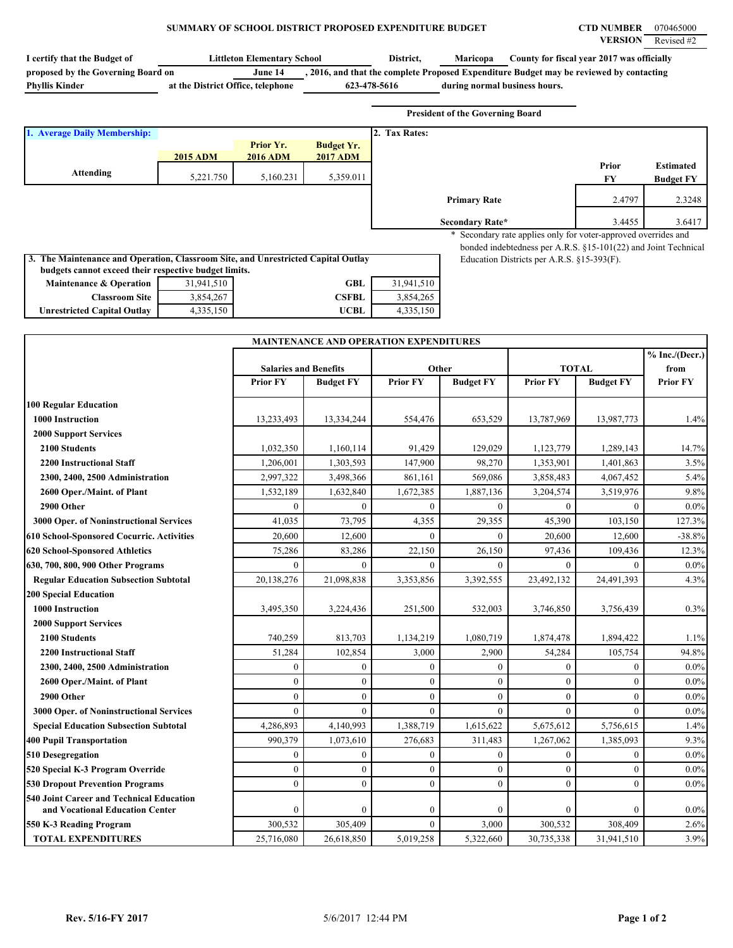## **SUMMARY OF SCHOOL DISTRICT PROPOSED EXPENDITURE BUDGET CTD NUMBER** 070465000

| I certify that the Budget of                                                                                                               |                                   | <b>Littleton Elementary School</b> |                                               | District,        | Maricopa                                                                                |                                            | County for fiscal year 2017 was officially                     |                  |
|--------------------------------------------------------------------------------------------------------------------------------------------|-----------------------------------|------------------------------------|-----------------------------------------------|------------------|-----------------------------------------------------------------------------------------|--------------------------------------------|----------------------------------------------------------------|------------------|
| proposed by the Governing Board on                                                                                                         |                                   | June 14                            |                                               |                  | , 2016, and that the complete Proposed Expenditure Budget may be reviewed by contacting |                                            |                                                                |                  |
| <b>Phyllis Kinder</b>                                                                                                                      | at the District Office, telephone |                                    | 623-478-5616                                  |                  | during normal business hours.                                                           |                                            |                                                                |                  |
|                                                                                                                                            |                                   |                                    |                                               |                  |                                                                                         |                                            |                                                                |                  |
|                                                                                                                                            |                                   |                                    |                                               |                  | <b>President of the Governing Board</b>                                                 |                                            |                                                                |                  |
| 1. Average Daily Membership:                                                                                                               |                                   |                                    |                                               | 2. Tax Rates:    |                                                                                         |                                            |                                                                |                  |
|                                                                                                                                            |                                   | Prior Yr.                          | <b>Budget Yr.</b>                             |                  |                                                                                         |                                            |                                                                |                  |
|                                                                                                                                            | <b>2015 ADM</b>                   | <b>2016 ADM</b>                    | <b>2017 ADM</b>                               |                  |                                                                                         |                                            | Prior                                                          | <b>Estimated</b> |
| <b>Attending</b>                                                                                                                           | 5,221.750                         | 5,160.231                          | 5,359.011                                     |                  |                                                                                         |                                            | ${\bf F}{\bf Y}$                                               | <b>Budget FY</b> |
|                                                                                                                                            |                                   |                                    |                                               |                  |                                                                                         |                                            |                                                                |                  |
|                                                                                                                                            |                                   |                                    |                                               |                  | <b>Primary Rate</b>                                                                     |                                            | 2.4797                                                         | 2.3248           |
|                                                                                                                                            |                                   |                                    |                                               |                  | Secondary Rate*                                                                         |                                            | 3.4455                                                         | 3.6417           |
|                                                                                                                                            |                                   |                                    |                                               |                  |                                                                                         |                                            | * Secondary rate applies only for voter-approved overrides and |                  |
|                                                                                                                                            |                                   |                                    |                                               |                  |                                                                                         |                                            | bonded indebtedness per A.R.S. §15-101(22) and Joint Technical |                  |
| 3. The Maintenance and Operation, Classroom Site, and Unrestricted Capital Outlay<br>budgets cannot exceed their respective budget limits. |                                   |                                    |                                               |                  |                                                                                         | Education Districts per A.R.S. §15-393(F). |                                                                |                  |
| <b>Maintenance &amp; Operation</b>                                                                                                         | 31,941,510                        |                                    | <b>GBL</b>                                    | 31,941,510       |                                                                                         |                                            |                                                                |                  |
| <b>Classroom Site</b>                                                                                                                      | 3,854,267                         |                                    | <b>CSFBL</b>                                  | 3,854,265        |                                                                                         |                                            |                                                                |                  |
| <b>Unrestricted Capital Outlay</b>                                                                                                         | 4,335,150                         |                                    | <b>UCBL</b>                                   | 4,335,150        |                                                                                         |                                            |                                                                |                  |
|                                                                                                                                            |                                   |                                    |                                               |                  |                                                                                         |                                            |                                                                |                  |
|                                                                                                                                            |                                   |                                    | <b>MAINTENANCE AND OPERATION EXPENDITURES</b> |                  |                                                                                         |                                            |                                                                |                  |
|                                                                                                                                            |                                   |                                    |                                               |                  |                                                                                         |                                            |                                                                | % Inc.(Decr.)    |
|                                                                                                                                            |                                   | <b>Salaries and Benefits</b>       |                                               | Other            |                                                                                         |                                            | <b>TOTAL</b>                                                   | from             |
|                                                                                                                                            |                                   | <b>Prior FY</b>                    | <b>Budget FY</b>                              | <b>Prior FY</b>  | <b>Budget FY</b>                                                                        | <b>Prior FY</b>                            | <b>Budget FY</b>                                               | <b>Prior FY</b>  |
|                                                                                                                                            |                                   |                                    |                                               |                  |                                                                                         |                                            |                                                                |                  |
| <b>100 Regular Education</b>                                                                                                               |                                   |                                    |                                               |                  |                                                                                         |                                            |                                                                |                  |
| <b>1000 Instruction</b>                                                                                                                    |                                   | 13,233,493                         | 13,334,244                                    | 554,476          | 653,529                                                                                 | 13,787,969                                 | 13,987,773                                                     | 1.4%             |
| <b>2000 Support Services</b>                                                                                                               |                                   |                                    |                                               |                  |                                                                                         |                                            |                                                                |                  |
| 2100 Students                                                                                                                              |                                   | 1,032,350                          | 1,160,114                                     | 91,429           | 129,029                                                                                 | 1,123,779                                  | 1,289,143                                                      | 14.7%            |
| <b>2200 Instructional Staff</b>                                                                                                            |                                   | 1,206,001                          | 1,303,593                                     | 147,900          | 98,270                                                                                  | 1,353,901                                  | 1,401,863                                                      | 3.5%             |
| 2300, 2400, 2500 Administration                                                                                                            |                                   | 2,997,322                          | 3,498,366                                     | 861,161          | 569,086                                                                                 | 3,858,483                                  | 4,067,452                                                      | 5.4%             |
| 2600 Oper./Maint. of Plant                                                                                                                 |                                   | 1,532,189                          | 1,632,840                                     | 1,672,385        | 1,887,136                                                                               | 3,204,574                                  | 3,519,976                                                      | 9.8%             |
| 2900 Other                                                                                                                                 |                                   | $\Omega$                           | $\mathbf{0}$                                  | $\theta$         | $\overline{0}$                                                                          | $\theta$                                   |                                                                | $0.0\%$          |
| 3000 Oper. of Noninstructional Services                                                                                                    |                                   | 41,035                             | 73,795                                        | 4,355            | 29,355                                                                                  | 45,390                                     | 103,150                                                        | 127.3%           |
| <b>610 School-Sponsored Cocurric. Activities</b>                                                                                           |                                   | 20,600                             | 12,600                                        | $\theta$         | $\mathbf{0}$                                                                            | 20,600                                     | 12,600                                                         | $-38.8%$         |
| 620 School-Sponsored Athletics                                                                                                             |                                   | 75,286                             | 83,286                                        | 22,150           | 26,150                                                                                  | 97,436                                     | 109,436                                                        | 12.3%            |
| 630, 700, 800, 900 Other Programs                                                                                                          |                                   | $\mathbf{0}$                       | $\mathbf{0}$                                  | $\mathbf{0}$     | $\mathbf{0}$                                                                            | $\boldsymbol{0}$                           | $\mathbf{0}$                                                   | $0.0\%$          |
| <b>Regular Education Subsection Subtotal</b>                                                                                               |                                   | 20,138,276                         | 21,098,838                                    | 3,353,856        | 3,392,555                                                                               | 23,492,132                                 | 24,491,393                                                     | 4.3%             |
| <b>200 Special Education</b>                                                                                                               |                                   |                                    |                                               |                  |                                                                                         |                                            |                                                                |                  |
| <b>1000 Instruction</b>                                                                                                                    |                                   | 3,495,350                          | 3,224,436                                     | 251,500          | 532,003                                                                                 | 3,746,850                                  | 3,756,439                                                      | 0.3%             |
| <b>2000 Support Services</b>                                                                                                               |                                   |                                    |                                               |                  |                                                                                         |                                            |                                                                |                  |
| 2100 Students                                                                                                                              |                                   | 740,259                            | 813,703                                       | 1,134,219        | 1,080,719                                                                               | 1,874,478                                  | 1,894,422                                                      | 1.1%             |
| <b>2200 Instructional Staff</b>                                                                                                            |                                   | 51,284                             | 102,854                                       | 3,000            | 2,900                                                                                   | 54,284                                     | 105,754                                                        | 94.8%            |
| 2300, 2400, 2500 Administration                                                                                                            |                                   | $\mathbf{0}$                       | $\boldsymbol{0}$                              | $\boldsymbol{0}$ | $\boldsymbol{0}$                                                                        | $\boldsymbol{0}$                           | $\mathbf{0}$                                                   | $0.0\%$          |
| 2600 Oper./Maint. of Plant                                                                                                                 |                                   | $\mathbf{0}$                       | $\boldsymbol{0}$                              | $\boldsymbol{0}$ | $\boldsymbol{0}$                                                                        | $\mathbf{0}$                               | $\mathbf{0}$                                                   | $0.0\%$          |
| 2900 Other                                                                                                                                 |                                   | $\mathbf{0}$                       | $\boldsymbol{0}$                              | $\boldsymbol{0}$ | $\boldsymbol{0}$                                                                        | $\mathbf{0}$                               | $\theta$                                                       | $0.0\%$          |
| 3000 Oper. of Noninstructional Services                                                                                                    |                                   | $\mathbf{0}$                       | $\mathbf{0}$                                  | $\mathbf{0}$     | $\overline{0}$                                                                          | $\mathbf{0}$                               | $\Omega$                                                       | $0.0\%$          |
| <b>Special Education Subsection Subtotal</b>                                                                                               |                                   | 4,286,893                          | 4,140,993                                     | 1,388,719        | 1,615,622                                                                               | 5,675,612                                  | 5,756,615                                                      | 1.4%             |
| <b>400 Pupil Transportation</b>                                                                                                            |                                   | 990,379                            | 1,073,610                                     | 276,683          | 311,483                                                                                 | 1,267,062                                  | 1,385,093                                                      | 9.3%             |
| 510 Desegregation                                                                                                                          |                                   | $\mathbf{0}$                       | $\mathbf{0}$                                  | $\boldsymbol{0}$ | $\overline{0}$                                                                          | $\mathbf{0}$                               | $\mathbf{0}$                                                   | $0.0\%$          |
| 520 Special K-3 Program Override                                                                                                           |                                   | $\mathbf{0}$                       | $\boldsymbol{0}$                              | $\boldsymbol{0}$ | $\boldsymbol{0}$                                                                        | $\boldsymbol{0}$                           | $\mathbf{0}$                                                   | $0.0\%$          |
| <b>530 Dropout Prevention Programs</b>                                                                                                     |                                   | $\mathbf{0}$                       | $\mathbf{0}$                                  | $\boldsymbol{0}$ | $\overline{0}$                                                                          | $\mathbf{0}$                               | $\mathbf{0}$                                                   | $0.0\%$          |
| 540 Joint Career and Technical Education<br>and Vocational Education Center                                                                |                                   | $\boldsymbol{0}$                   | $\boldsymbol{0}$                              | $\boldsymbol{0}$ | 0                                                                                       | $\boldsymbol{0}$                           | $\mathbf{0}$                                                   | $0.0\%$          |
| 550 K-3 Reading Program                                                                                                                    |                                   | 300,532                            | 305,409                                       | $\boldsymbol{0}$ | 3,000                                                                                   | 300,532                                    | 308,409                                                        | 2.6%             |
| <b>TOTAL EXPENDITURES</b>                                                                                                                  |                                   | 25,716,080                         | 26,618,850                                    | 5,019,258        | 5,322,660                                                                               | 30,735,338                                 | 31,941,510                                                     | 3.9%             |